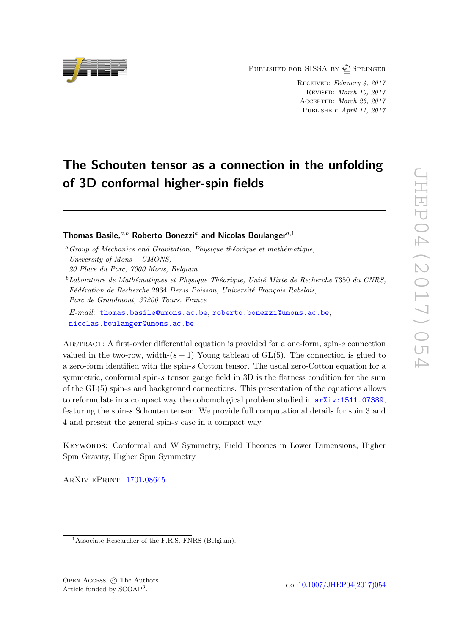PUBLISHED FOR SISSA BY 2 SPRINGER

Received: February 4, 2017 Revised: March 10, 2017 Accepted: March 26, 2017 PUBLISHED: April 11, 2017

# The Schouten tensor as a connection in the unfolding of 3D conformal higher-spin fields

Thomas Basile,<sup>a,b</sup> Roberto Bonezzi<sup>a</sup> and Nicolas Boulanger<sup>a,1</sup>

E-mail: [thomas.basile@umons.ac.be](mailto:thomas.basile@umons.ac.be), [roberto.bonezzi@umons.ac.be](mailto:roberto.bonezzi@umons.ac.be), [nicolas.boulanger@umons.ac.be](mailto:nicolas.boulanger@umons.ac.be)

Abstract: A first-order differential equation is provided for a one-form, spin-s connection valued in the two-row, width- $(s - 1)$  Young tableau of GL(5). The connection is glued to a zero-form identified with the spin-s Cotton tensor. The usual zero-Cotton equation for a symmetric, conformal spin-s tensor gauge field in 3D is the flatness condition for the sum of the GL(5) spin-s and background connections. This presentation of the equations allows to reformulate in a compact way the cohomological problem studied in  $arXiv:1511.07389$ . featuring the spin-s Schouten tensor. We provide full computational details for spin 3 and 4 and present the general spin-s case in a compact way.

Keywords: Conformal and W Symmetry, Field Theories in Lower Dimensions, Higher Spin Gravity, Higher Spin Symmetry

ArXiv ePrint: [1701.08645](https://arxiv.org/abs/1701.08645)



 $a$ <sup>a</sup> Group of Mechanics and Gravitation, Physique théorique et mathématique, University of Mons – UMONS,

<sup>20</sup> Place du Parc, 7000 Mons, Belgium

 $^{b}$ Laboratoire de Mathématiques et Physique Théorique, Unité Mixte de Recherche 7350 du CNRS, Fédération de Recherche 2964 Denis Poisson, Université François Rabelais, Parc de Grandmont, 37200 Tours, France

<sup>&</sup>lt;sup>1</sup>Associate Researcher of the F.R.S.-FNRS (Belgium).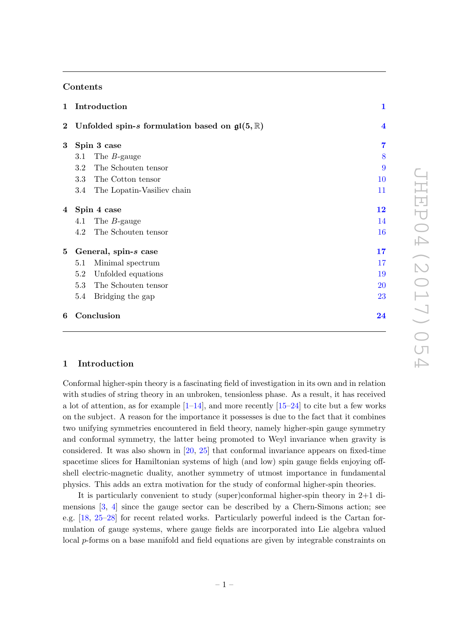## Contents

| $\mathbf{1}$ | Introduction                                                         | $\mathbf{1}$               |
|--------------|----------------------------------------------------------------------|----------------------------|
|              | 2 Unfolded spin-s formulation based on $\mathfrak{gl}(5,\mathbb{R})$ | $\overline{\mathbf{4}}$    |
| $\bf{3}$     | Spin 3 case                                                          | 7                          |
|              | 3.1<br>The $B$ -gauge                                                | 8                          |
|              | The Schouten tensor<br>$3.2\,$                                       | 9                          |
|              | 3.3<br>The Cotton tensor                                             | 10                         |
|              | 3.4<br>The Lopatin-Vasiliev chain                                    | 11                         |
|              | 4 Spin 4 case                                                        | $\overline{1}\overline{2}$ |
|              | 4.1<br>The $B$ -gauge                                                | 14                         |
|              | The Schouten tensor<br>4.2                                           | 16                         |
| 5            | General, spin-s case                                                 | 17                         |
|              | Minimal spectrum<br>5.1                                              | 17                         |
|              | Unfolded equations<br>5.2                                            | 19                         |
|              | The Schouten tensor<br>5.3                                           | 20                         |
|              | 5.4<br>Bridging the gap                                              | 23                         |
| 6            | Conclusion                                                           | $\overline{24}$            |

## <span id="page-1-0"></span>1 Introduction

Conformal higher-spin theory is a fascinating field of investigation in its own and in relation with studies of string theory in an unbroken, tensionless phase. As a result, it has received a lot of attention, as for example  $[1-14]$  $[1-14]$ , and more recently  $[15-24]$  $[15-24]$  to cite but a few works on the subject. A reason for the importance it possesses is due to the fact that it combines two unifying symmetries encountered in field theory, namely higher-spin gauge symmetry and conformal symmetry, the latter being promoted to Weyl invariance when gravity is considered. It was also shown in  $[20, 25]$  $[20, 25]$  $[20, 25]$  that conformal invariance appears on fixed-time spacetime slices for Hamiltonian systems of high (and low) spin gauge fields enjoying offshell electric-magnetic duality, another symmetry of utmost importance in fundamental physics. This adds an extra motivation for the study of conformal higher-spin theories.

It is particularly convenient to study (super)conformal higher-spin theory in 2+1 dimensions  $[3, 4]$  $[3, 4]$  $[3, 4]$  since the gauge sector can be described by a Chern-Simons action; see e.g. [\[18,](#page-26-3) [25](#page-26-2)[–28\]](#page-26-4) for recent related works. Particularly powerful indeed is the Cartan formulation of gauge systems, where gauge fields are incorporated into Lie algebra valued local p-forms on a base manifold and field equations are given by integrable constraints on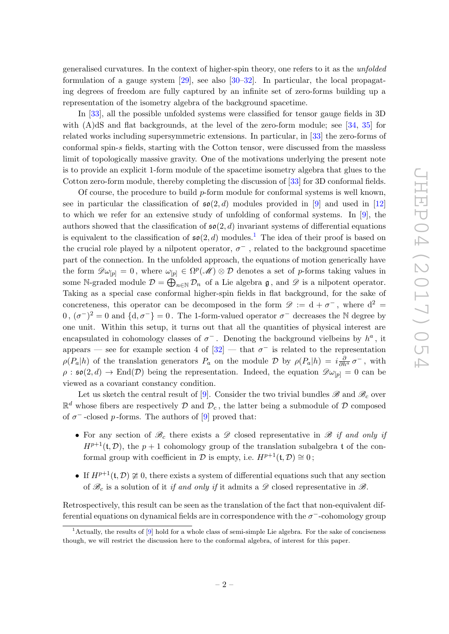generalised curvatures. In the context of higher-spin theory, one refers to it as the unfolded formulation of a gauge system  $[29]$ , see also  $[30-32]$  $[30-32]$ . In particular, the local propagating degrees of freedom are fully captured by an infinite set of zero-forms building up a representation of the isometry algebra of the background spacetime.

In [\[33\]](#page-26-8), all the possible unfolded systems were classified for tensor gauge fields in 3D with (A)dS and flat backgrounds, at the level of the zero-form module; see [\[34,](#page-26-9) [35\]](#page-26-10) for related works including supersymmetric extensions. In particular, in [\[33\]](#page-26-8) the zero-forms of conformal spin-s fields, starting with the Cotton tensor, were discussed from the massless limit of topologically massive gravity. One of the motivations underlying the present note is to provide an explicit 1-form module of the spacetime isometry algebra that glues to the Cotton zero-form module, thereby completing the discussion of [\[33\]](#page-26-8) for 3D conformal fields.

Of course, the procedure to build  $p$ -form module for conformal systems is well known, see in particular the classification of  $\mathfrak{so}(2,d)$  modules provided in [\[9\]](#page-25-5) and used in [\[12\]](#page-25-6) to which we refer for an extensive study of unfolding of conformal systems. In [\[9\]](#page-25-5), the authors showed that the classification of  $\mathfrak{so}(2, d)$  invariant systems of differential equations is equivalent to the classification of  $\mathfrak{so}(2, d)$  modules.<sup>[1](#page-2-0)</sup> The idea of their proof is based on the crucial role played by a nilpotent operator,  $\sigma^{-}$ , related to the background spacetime part of the connection. In the unfolded approach, the equations of motion generically have the form  $\mathscr{D}\omega_{[p]} = 0$ , where  $\omega_{[p]} \in \Omega^p(\mathscr{M}) \otimes \mathcal{D}$  denotes a set of p-forms taking values in some N-graded module  $\mathcal{D} = \bigoplus_{n \in \mathbb{N}} \mathcal{D}_n$  of a Lie algebra  $\mathfrak{g}$ , and  $\mathscr{D}$  is a nilpotent operator. Taking as a special case conformal higher-spin fields in flat background, for the sake of concreteness, this operator can be decomposed in the form  $\mathscr{D} := d + \sigma^{-}$ , where  $d^{2} =$  $(0, (\sigma^-)^2 = 0$  and  $\{d, \sigma^-\} = 0$ . The 1-form-valued operator  $\sigma^-$  decreases the N degree by one unit. Within this setup, it turns out that all the quantities of physical interest are encapsulated in cohomology classes of  $\sigma^-$ . Denoting the background vielbeins by  $h^a$ , it appears – see for example section 4 of  $[32]$  – that  $\sigma^-$  is related to the representation  $\rho(P_a|h)$  of the translation generators  $P_a$  on the module  $\mathcal D$  by  $\rho(P_a|h) = i\frac{\partial}{\partial h^a}\sigma^-$ , with  $\rho : \mathfrak{so}(2,d) \to \text{End}(\mathcal{D})$  being the representation. Indeed, the equation  $\mathscr{D}\omega_{[p]} = 0$  can be viewed as a covariant constancy condition.

Let us sketch the central result of [\[9\]](#page-25-5). Consider the two trivial bundles  $\mathscr{B}$  and  $\mathscr{B}_c$  over  $\mathbb{R}^d$  whose fibers are respectively  $\mathcal D$  and  $\mathcal D_c$ , the latter being a submodule of  $\mathcal D$  composed of  $\sigma^-$ -closed p-forms. The authors of  $[9]$  proved that:

- For any section of  $\mathscr{B}_c$  there exists a  $\mathscr{D}$  closed representative in  $\mathscr{B}$  if and only if  $H^{p+1}(\mathfrak{t}, \mathcal{D})$ , the  $p+1$  cohomology group of the translation subalgebra t of the conformal group with coefficient in  $\mathcal D$  is empty, i.e.  $H^{p+1}(\mathfrak t, \mathcal D) \cong 0$ ;
- If  $H^{p+1}(\mathfrak{t}, \mathcal{D}) \ncong 0$ , there exists a system of differential equations such that any section of  $\mathcal{B}_c$  is a solution of it if and only if it admits a  $\mathcal D$  closed representative in  $\mathcal{B}$ .

Retrospectively, this result can be seen as the translation of the fact that non-equivalent differential equations on dynamical fields are in correspondence with the  $\sigma^-$ -cohomology group

<span id="page-2-0"></span><sup>&</sup>lt;sup>1</sup>Actually, the results of [\[9\]](#page-25-5) hold for a whole class of semi-simple Lie algebra. For the sake of conciseness though, we will restrict the discussion here to the conformal algebra, of interest for this paper.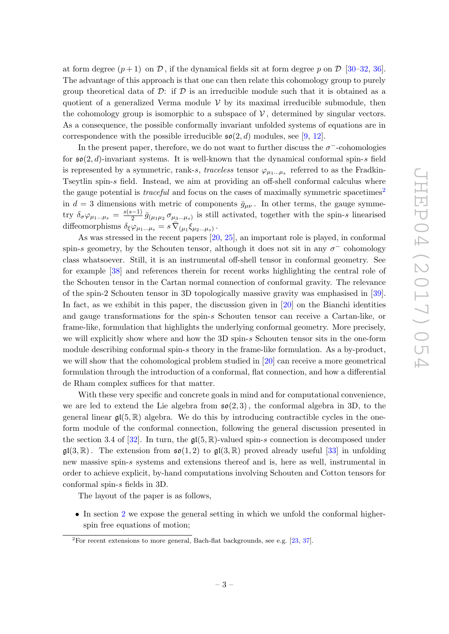at form degree  $(p+1)$  on D, if the dynamical fields sit at form degree p on D [\[30](#page-26-6)[–32,](#page-26-7) [36\]](#page-26-11). The advantage of this approach is that one can then relate this cohomology group to purely group theoretical data of  $\mathcal{D}$ : if  $\mathcal{D}$  is an irreducible module such that it is obtained as a quotient of a generalized Verma module  $V$  by its maximal irreducible submodule, then the cohomology group is isomorphic to a subspace of  $\mathcal V$ , determined by singular vectors. As a consequence, the possible conformally invariant unfolded systems of equations are in correspondence with the possible irreducible  $\mathfrak{so}(2, d)$  modules, see [\[9,](#page-25-5) [12\]](#page-25-6).

In the present paper, therefore, we do not want to further discuss the  $\sigma$ <sup>-</sup>-cohomologies for  $\mathfrak{so}(2,d)$ -invariant systems. It is well-known that the dynamical conformal spin-s field is represented by a symmetric, rank-s, traceless tensor  $\varphi_{\mu_1...\mu_s}$  referred to as the Fradkin-Tseytlin spin-s field. Instead, we aim at providing an off-shell conformal calculus where the gauge potential is *traceful* and focus on the cases of maximally symmetric spacetimes<sup>[2](#page-3-0)</sup> in  $d = 3$  dimensions with metric of components  $\bar{g}_{\mu\nu}$ . In other terms, the gauge symmetry  $\delta_{\sigma} \varphi_{\mu_1...\mu_s} = \frac{s(s-1)}{2}$  $\frac{(-1)}{2} \bar{g}_{(\mu_1\mu_2} \sigma_{\mu_3...\mu_s)}$  is still activated, together with the spin-s linearised diffeomorphisms  $\delta_{\xi}\varphi_{\mu_1...\mu_s} = s \overline{\nabla}_{(\mu_1}\xi_{\mu_2...\mu_s)}$ .

As was stressed in the recent papers [\[20,](#page-26-1) [25\]](#page-26-2), an important role is played, in conformal spin-s geometry, by the Schouten tensor, although it does not sit in any  $\sigma^-$  cohomology class whatsoever. Still, it is an instrumental off-shell tensor in conformal geometry. See for example [\[38\]](#page-27-0) and references therein for recent works highlighting the central role of the Schouten tensor in the Cartan normal connection of conformal gravity. The relevance of the spin-2 Schouten tensor in 3D topologically massive gravity was emphasised in [\[39\]](#page-27-1). In fact, as we exhibit in this paper, the discussion given in  $[20]$  on the Bianchi identities and gauge transformations for the spin-s Schouten tensor can receive a Cartan-like, or frame-like, formulation that highlights the underlying conformal geometry. More precisely, we will explicitly show where and how the 3D spin-s Schouten tensor sits in the one-form module describing conformal spin-s theory in the frame-like formulation. As a by-product, we will show that the cohomological problem studied in [\[20\]](#page-26-1) can receive a more geometrical formulation through the introduction of a conformal, flat connection, and how a differential de Rham complex suffices for that matter.

With these very specific and concrete goals in mind and for computational convenience, we are led to extend the Lie algebra from  $\mathfrak{so}(2,3)$ , the conformal algebra in 3D, to the general linear  $\mathfrak{gl}(5,\mathbb{R})$  algebra. We do this by introducing contractible cycles in the oneform module of the conformal connection, following the general discussion presented in the section 3.4 of [\[32\]](#page-26-7). In turn, the  $\mathfrak{gl}(5,\mathbb{R})$ -valued spin-s connection is decomposed under  $\mathfrak{gl}(3,\mathbb{R})$ . The extension from  $\mathfrak{so}(1,2)$  to  $\mathfrak{gl}(3,\mathbb{R})$  proved already useful [\[33\]](#page-26-8) in unfolding new massive spin-s systems and extensions thereof and is, here as well, instrumental in order to achieve explicit, by-hand computations involving Schouten and Cotton tensors for conformal spin-s fields in 3D.

The layout of the paper is as follows,

• In section [2](#page-4-0) we expose the general setting in which we unfold the conformal higherspin free equations of motion;

<span id="page-3-0"></span><sup>&</sup>lt;sup>2</sup>For recent extensions to more general, Bach-flat backgrounds, see e.g. [\[23,](#page-26-12) [37\]](#page-26-13).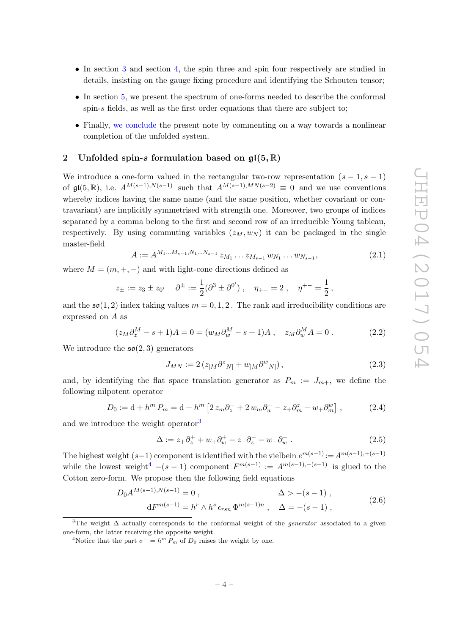- In section [3](#page-7-0) and section [4,](#page-12-0) the spin three and spin four respectively are studied in details, insisting on the gauge fixing procedure and identifying the Schouten tensor;
- In section [5,](#page-17-0) we present the spectrum of one-forms needed to describe the conformal spin-s fields, as well as the first order equations that there are subject to;
- Finally, [we conclude](#page-24-0) the present note by commenting on a way towards a nonlinear completion of the unfolded system.

#### <span id="page-4-0"></span>2 Unfolded spin-s formulation based on  $\mathfrak{gl}(5,\mathbb{R})$

We introduce a one-form valued in the rectangular two-row representation  $(s - 1, s - 1)$ of  $\mathfrak{gl}(5,\mathbb{R})$ , i.e.  $A^{M(s-1),N(s-1)}$  such that  $A^{M(s-1),MN(s-2)} \equiv 0$  and we use conventions whereby indices having the same name (and the same position, whether covariant or contravariant) are implicitly symmetrised with strength one. Moreover, two groups of indices separated by a comma belong to the first and second row of an irreducible Young tableau, respectively. By using commuting variables  $(z_M, w_N)$  it can be packaged in the single master-field

<span id="page-4-4"></span>
$$
A := A^{M_1 \dots M_{s-1}, N_1 \dots N_{s-1}} z_{M_1} \dots z_{M_{s-1}} w_{N_1} \dots w_{N_{s-1}},
$$
\n(2.1)

where  $M = (m, +, -)$  and with light-cone directions defined as

$$
z_{\pm} := z_3 \pm z_{0'} \quad \partial^{\pm} := \frac{1}{2} (\partial^3 \pm \partial^{0'}) \ , \quad \eta_{+-} = 2 \ , \quad \eta^{+-} = \frac{1}{2} \ ,
$$

and the  $\mathfrak{so}(1,2)$  index taking values  $m = 0, 1, 2$ . The rank and irreducibility conditions are expressed on A as

$$
(z_M \partial_z^M - s + 1)A = 0 = (w_M \partial_w^M - s + 1)A , \quad z_M \partial_w^M A = 0 .
$$
 (2.2)

We introduce the  $\mathfrak{so}(2,3)$  generators

$$
J_{MN} := 2\left(z_{[M}\partial^z{}_{N]} + w_{[M}\partial^w{}_{N]}\right),\tag{2.3}
$$

and, by identifying the flat space translation generator as  $P_m := J_{m+}$ , we define the following nilpotent operator

$$
D_0 := d + h^m P_m = d + h^m \left[ 2 z_m \partial_z^+ + 2 w_m \partial_w^- - z_+ \partial_m^z - w_+ \partial_m^w \right],
$$
 (2.4)

and we introduce the weight operator<sup>[3](#page-4-1)</sup>

$$
\Delta := z_+ \partial_z^+ + w_+ \partial_w^+ - z_- \partial_z^- - w_- \partial_w^- . \tag{2.5}
$$

The highest weight  $(s-1)$  component is identified with the vielbein  $e^{m(s-1)}$ := $A^{m(s-1),(s-1)}$ while the lowest weight<sup>[4](#page-4-2)</sup>  $-(s-1)$  component  $F^{m(s-1)} := A^{m(s-1),-(s-1)}$  is glued to the Cotton zero-form. We propose then the following field equations

$$
D_0 A^{M(s-1), N(s-1)} = 0, \qquad \Delta > -(s-1),
$$
  
\n
$$
dF^{m(s-1)} = h^r \wedge h^s \epsilon_{rsn} \Phi^{m(s-1)n}, \quad \Delta = -(s-1),
$$
\n(2.6)

<span id="page-4-3"></span><span id="page-4-1"></span><sup>&</sup>lt;sup>3</sup>The weight  $\Delta$  actually corresponds to the conformal weight of the *generator* associated to a given one-form, the latter receiving the opposite weight.

<span id="page-4-2"></span><sup>&</sup>lt;sup>4</sup>Notice that the part  $\sigma^- = h^m P_m$  of  $D_0$  raises the weight by one.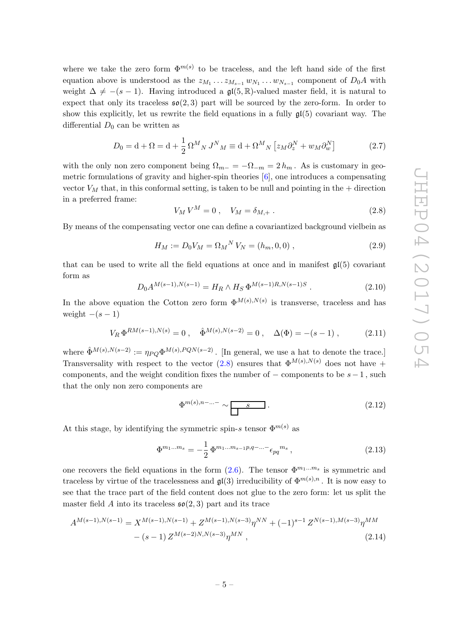where we take the zero form  $\Phi^{m(s)}$  to be traceless, and the left hand side of the first equation above is understood as the  $z_{M_1} \ldots z_{M_{s-1}} w_{N_1} \ldots w_{N_{s-1}}$  component of  $D_0A$  with weight  $\Delta \neq -(s - 1)$ . Having introduced a gl(5, R)-valued master field, it is natural to expect that only its traceless  $\mathfrak{so}(2,3)$  part will be sourced by the zero-form. In order to show this explicitly, let us rewrite the field equations in a fully  $\mathfrak{gl}(5)$  covariant way. The differential  $D_0$  can be written as

$$
D_0 = \mathbf{d} + \Omega = \mathbf{d} + \frac{1}{2} \Omega^M{}_N J^N{}_M \equiv \mathbf{d} + \Omega^M{}_N \left[ z_M \partial_z^N + w_M \partial_w^N \right] \tag{2.7}
$$

with the only non zero component being  $\Omega_{m-} = -\Omega_{-m} = 2 h_m$ . As is customary in geometric formulations of gravity and higher-spin theories [\[6\]](#page-25-7), one introduces a compensating vector  $V_M$  that, in this conformal setting, is taken to be null and pointing in the  $+$  direction in a preferred frame:

<span id="page-5-0"></span>
$$
V_M V^M = 0 \,, \quad V_M = \delta_{M,+} \,. \tag{2.8}
$$

By means of the compensating vector one can define a covariantized background vielbein as

$$
H_M := D_0 V_M = \Omega_M{}^N V_N = (h_m, 0, 0) , \qquad (2.9)
$$

that can be used to write all the field equations at once and in manifest  $\mathfrak{gl}(5)$  covariant form as

<span id="page-5-1"></span>
$$
D_0 A^{M(s-1), N(s-1)} = H_R \wedge H_S \, \Phi^{M(s-1)R, N(s-1)S} \,. \tag{2.10}
$$

In the above equation the Cotton zero form  $\Phi^{M(s),N(s)}$  is transverse, traceless and has weight  $-(s-1)$ 

$$
V_R \Phi^{RM(s-1),N(s)} = 0 \ , \quad \hat{\Phi}^{M(s),N(s-2)} = 0 \ , \quad \Delta(\Phi) = -(s-1) \ , \tag{2.11}
$$

where  $\hat{\Phi}^{M(s),N(s-2)} := \eta_{PO} \Phi^{M(s),PQN(s-2)}$ . [In general, we use a hat to denote the trace.] Transversality with respect to the vector [\(2.8\)](#page-5-0) ensures that  $\Phi^{M(s),N(s)}$  does not have + components, and the weight condition fixes the number of  $-$  components to be  $s - 1$ , such that the only non zero components are

$$
\Phi^{m(s),n-\dots-\sim} \over \boxed{\qquad \qquad }.\tag{2.12}
$$

At this stage, by identifying the symmetric spin-s tensor  $\Phi^{m(s)}$  as

$$
\Phi^{m_1...m_s} = -\frac{1}{2} \Phi^{m_1...m_{s-1}p,q-...-} \epsilon_{pq}{}^{m_s}, \qquad (2.13)
$$

one recovers the field equations in the form  $(2.6)$ . The tensor  $\Phi^{m_1...m_s}$  is symmetric and traceless by virtue of the tracelessness and  $\mathfrak{gl}(3)$  irreducibility of  $\Phi^{m(s),n}$ . It is now easy to see that the trace part of the field content does not glue to the zero form: let us split the master field A into its traceless  $\mathfrak{so}(2,3)$  part and its trace

$$
A^{M(s-1),N(s-1)} = X^{M(s-1),N(s-1)} + Z^{M(s-1),N(s-3)}\eta^{NN} + (-1)^{s-1} Z^{N(s-1),M(s-3)}\eta^{MM}
$$

$$
- (s-1) Z^{M(s-2)N,N(s-3)}\eta^{MN}, \qquad (2.14)
$$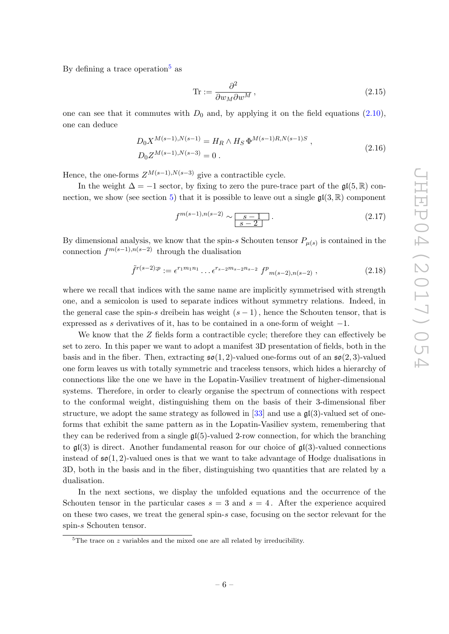By defining a trace operation<sup>[5](#page-6-0)</sup> as

$$
\text{Tr} := \frac{\partial^2}{\partial w_M \partial w^M},\tag{2.15}
$$

one can see that it commutes with  $D_0$  and, by applying it on the field equations [\(2.10\)](#page-5-1), one can deduce

$$
D_0 X^{M(s-1), N(s-1)} = H_R \wedge H_S \Phi^{M(s-1)R, N(s-1)S} ,
$$
  
\n
$$
D_0 Z^{M(s-1), N(s-3)} = 0 .
$$
\n(2.16)

<span id="page-6-1"></span>Hence, the one-forms  $Z^{M(s-1),N(s-3)}$  give a contractible cycle.

In the weight  $\Delta = -1$  sector, by fixing to zero the pure-trace part of the  $\mathfrak{gl}(5,\mathbb{R})$  con-nection, we show (see section [5\)](#page-17-0) that it is possible to leave out a single  $\mathfrak{gl}(3,\mathbb{R})$  component

$$
f^{m(s-1),n(s-2)} \sim \boxed{\frac{s-1}{s-2}}.
$$
\n
$$
(2.17)
$$

By dimensional analysis, we know that the spin-s Schouten tensor  $P_{\mu(s)}$  is contained in the connection  $f^{m(s-1),n(s-2)}$  through the dualisation

$$
\tilde{f}^{r(s-2);p} := \epsilon^{r_1 m_1 n_1} \dots \epsilon^{r_{s-2} m_{s-2} n_{s-2}} f^p_{m(s-2), n(s-2)}, \qquad (2.18)
$$

where we recall that indices with the same name are implicitly symmetrised with strength one, and a semicolon is used to separate indices without symmetry relations. Indeed, in the general case the spin-s dreibein has weight  $(s - 1)$ , hence the Schouten tensor, that is expressed as s derivatives of it, has to be contained in a one-form of weight  $-1$ .

We know that the Z fields form a contractible cycle; therefore they can effectively be set to zero. In this paper we want to adopt a manifest 3D presentation of fields, both in the basis and in the fiber. Then, extracting  $\mathfrak{so}(1,2)$ -valued one-forms out of an  $\mathfrak{so}(2,3)$ -valued one form leaves us with totally symmetric and traceless tensors, which hides a hierarchy of connections like the one we have in the Lopatin-Vasiliev treatment of higher-dimensional systems. Therefore, in order to clearly organise the spectrum of connections with respect to the conformal weight, distinguishing them on the basis of their 3-dimensional fiber structure, we adopt the same strategy as followed in [\[33\]](#page-26-8) and use a  $\mathfrak{gl}(3)$ -valued set of oneforms that exhibit the same pattern as in the Lopatin-Vasiliev system, remembering that they can be rederived from a single  $\mathfrak{gl}(5)$ -valued 2-row connection, for which the branching to  $\mathfrak{gl}(3)$  is direct. Another fundamental reason for our choice of  $\mathfrak{gl}(3)$ -valued connections instead of  $\mathfrak{so}(1,2)$ -valued ones is that we want to take advantage of Hodge dualisations in 3D, both in the basis and in the fiber, distinguishing two quantities that are related by a dualisation.

In the next sections, we display the unfolded equations and the occurrence of the Schouten tensor in the particular cases  $s = 3$  and  $s = 4$ . After the experience acquired on these two cases, we treat the general spin-s case, focusing on the sector relevant for the spin-s Schouten tensor.

<span id="page-6-0"></span> $5$ The trace on  $z$  variables and the mixed one are all related by irreducibility.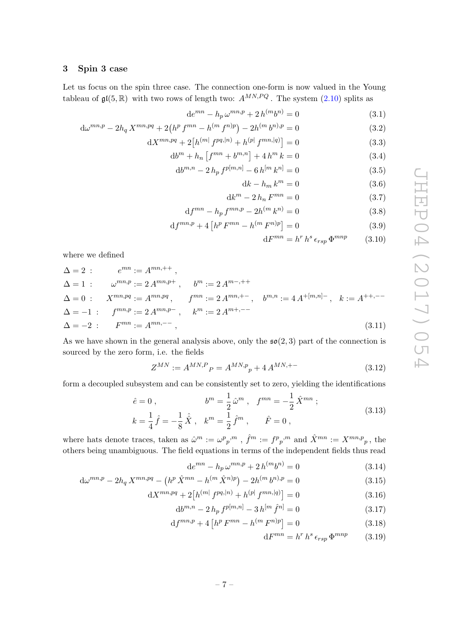## <span id="page-7-0"></span>3 Spin 3 case

Let us focus on the spin three case. The connection one-form is now valued in the Young tableau of  $\mathfrak{gl}(5,\mathbb{R})$  with two rows of length two:  $A^{MN,PQ}$ . The system [\(2.10\)](#page-5-1) splits as

$$
de^{mn} - h_p \omega^{mn,p} + 2h^{(m}b^{n)} = 0
$$
\n(3.1)

$$
d\omega^{mn,p} - 2h_q X^{mn,pq} + 2\left(h^p f^{mn} - h^{(m} f^{n)p}\right) - 2h^{(m} b^{n)p} = 0
$$
\n(3.2)

$$
dX^{mn,pq} + 2[h^{(m)} f^{pq,|n)} + h^{(p)} f^{mn,|q)}] = 0
$$
\n(3.3)

$$
db^{m} + h_{n} \left[ f^{mn} + b^{m,n} \right] + 4 h^{m} k = 0 \tag{3.4}
$$

$$
db^{m,n} - 2h_p f^{p[m,n]} - 6h^{[m} k^{n]} = 0
$$
\n(3.5)

$$
\mathrm{d}k - h_m \, k^m = 0 \tag{3.6}
$$

$$
\mathrm{d}k^m - 2\,h_n\,F^{mn} = 0\tag{3.7}
$$

$$
df^{mn} - h_p f^{mn,p} - 2h^{(m} k^{n)} = 0
$$
\n(3.8)

$$
df^{mn,p} + 4[h^p F^{mn} - h^{(m} F^{n)p}] = 0
$$
\n(3.9)

$$
dF^{mn} = h^r h^s \epsilon_{rsp} \Phi^{mnp} \qquad (3.10)
$$

where we defined

$$
\Delta = 2 : \qquad e^{mn} := A^{mn, ++},
$$
  
\n
$$
\Delta = 1 : \qquad \omega^{mn, p} := 2 A^{mn, p+}, \qquad b^m := 2 A^{m-, ++}
$$
  
\n
$$
\Delta = 0 : \qquad X^{mn, pq} := A^{mn, pq}, \qquad f^{mn} := 2 A^{mn, +-}, \qquad b^{m,n} := 4 A^{+(m,n)-}, \qquad k := A^{++, --}
$$
  
\n
$$
\Delta = -1 : \qquad f^{mn, p} := 2 A^{mn, p-}, \qquad k^m := 2 A^{m+, -}
$$
  
\n
$$
\Delta = -2 : \qquad F^{mn} := A^{mn, --}, \qquad (3.11)
$$

As we have shown in the general analysis above, only the  $\mathfrak{so}(2,3)$  part of the connection is sourced by the zero form, i.e. the fields

$$
Z^{MN} := A^{MN,P}P = A^{MN,p}P + 4A^{MN,+}
$$
\n(3.12)

form a decoupled subsystem and can be consistently set to zero, yielding the identifications

$$
\hat{e} = 0, \qquad b^m = \frac{1}{2} \hat{\omega}^m, \quad f^{mn} = -\frac{1}{2} \hat{X}^{mn};
$$
  
\n
$$
k = \frac{1}{4} \hat{f} = -\frac{1}{8} \hat{X}, \quad k^m = \frac{1}{2} \hat{f}^m, \qquad \hat{F} = 0,
$$
\n(3.13)

where hats denote traces, taken as  $\hat{\omega}^m := \omega^p{}_p{}^{,m}$  ,  $\hat{f}^m := f^p{}_p{}^{,m}$  and  $\hat{X}^{mn} := X^{mn,p}{}_p$ , the others being unambiguous. The field equations in terms of the independent fields thus read

$$
de^{mn} - h_p \omega^{mn,p} + 2h^{(m}b^{n)} = 0
$$
\n(3.14)

$$
d\omega^{mn,p} - 2h_q X^{mn,pq} - \left(h^p \hat{X}^{mn} - h^{(m} \hat{X}^{n)p}\right) - 2h^{(m} b^{n)p} = 0
$$
\n(3.15)

$$
dX^{mn,pq} + 2[h^{(m]} f^{pq,|n)} + h^{(p]} f^{mn,|q]} = 0
$$
\n(3.16)

$$
db^{m,n} - 2h_p f^{p[m,n]} - 3h^{[m} \hat{f}^{n]} = 0
$$
\n(3.17)

$$
df^{mn,p} + 4\left[h^p F^{mn} - h^{(m} F^{n)p}\right] = 0 \tag{3.18}
$$

<span id="page-7-4"></span><span id="page-7-3"></span><span id="page-7-2"></span><span id="page-7-1"></span>
$$
dF^{mn} = h^r h^s \epsilon_{rsp} \Phi^{mnp} \qquad (3.19)
$$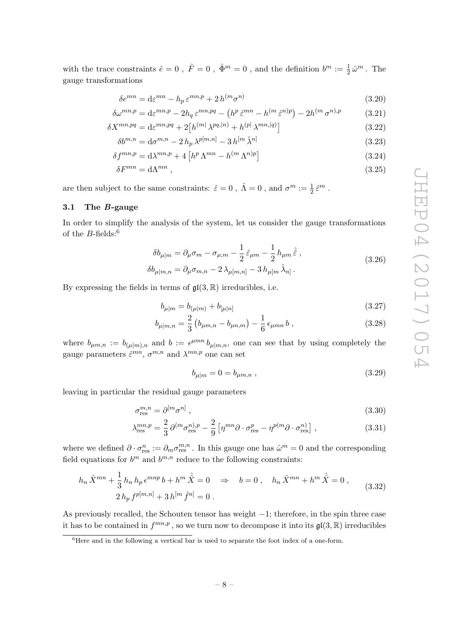with the trace constraints  $\hat{e} = 0$ ,  $\hat{F} = 0$ ,  $\hat{\Phi}^m = 0$ , and the definition  $b^m := \frac{1}{2} \hat{\omega}^m$ . The gauge transformations

$$
\delta e^{mn} = d\varepsilon^{mn} - h_p \varepsilon^{mn, p} + 2h^{(m} \sigma^{n)}
$$
\n(3.20)

$$
\delta\omega^{mn,p} = \mathrm{d}\varepsilon^{mn,p} - 2h_q \varepsilon^{mn,pq} - \left(h^p \hat{\varepsilon}^{mn} - h^{(m} \hat{\varepsilon}^{n)p}\right) - 2h^{(m} \sigma^{n)p} \tag{3.21}
$$

$$
\delta X^{mn,pq} = \mathrm{d}\varepsilon^{mn,pq} + 2\big[h^{(m)}\lambda^{pq,|n)} + h^{(p)}\lambda^{mn,|q)}\big] \tag{3.22}
$$

$$
\delta b^{m,n} = d\sigma^{m,n} - 2h_p \lambda^{p[m,n]} - 3h^{[m} \hat{\lambda}^{n]}
$$
\n(3.23)

$$
\delta f^{mn,p} = \mathrm{d}\lambda^{mn,p} + 4\left[h^p \Lambda^{mn} - h^{(m} \Lambda^{n)p}\right] \tag{3.24}
$$

$$
\delta F^{mn} = \mathrm{d}\Lambda^{mn} \;, \tag{3.25}
$$

are then subject to the same constraints:  $\hat{\varepsilon} = 0$ ,  $\hat{\Lambda} = 0$ , and  $\sigma^m := \frac{1}{2} \hat{\varepsilon}^m$ .

## <span id="page-8-0"></span>3.1 The B-gauge

In order to simplify the analysis of the system, let us consider the gauge transformations of the  $B$ -fields:<sup>[6](#page-8-1)</sup>

<span id="page-8-2"></span>
$$
\delta b_{\mu|m} = \partial_{\mu}\sigma_m - \sigma_{\mu,m} - \frac{1}{2}\hat{\varepsilon}_{\mu m} - \frac{1}{2}h_{\mu m}\hat{\varepsilon} , \qquad (3.26)
$$

$$
\delta b_{\mu|m,n} = \partial_{\mu}\sigma_{m,n} - 2\,\lambda_{\mu[m,n]} - 3\,h_{\mu[m}\,\hat{\lambda}_{n]} \,.
$$

By expressing the fields in terms of  $\mathfrak{gl}(3,\mathbb{R})$  irreducibles, i.e.

$$
b_{\mu|m} = b_{(\mu|m)} + b_{[\mu|n]} \tag{3.27}
$$

$$
b_{\mu|m,n} = \frac{2}{3} \left( b_{\mu m,n} - b_{\mu n,m} \right) - \frac{1}{6} \epsilon_{\mu mn} b , \qquad (3.28)
$$

where  $b_{\mu m,n} := b_{(\mu|m),n}$  and  $b := \epsilon^{\mu mn} b_{\mu|m,n}$ , one can see that by using completely the gauge parameters  $\hat{\varepsilon}^{mn}$ ,  $\sigma^{m,n}$  and  $\lambda^{mn,p}$  one can set

$$
b_{\mu|m} = 0 = b_{\mu m,n} \tag{3.29}
$$

leaving in particular the residual gauge parameters

$$
\sigma_{\rm res}^{m,n} = \partial^{[m} \sigma^{n]},\tag{3.30}
$$

$$
\lambda_{\rm res}^{mn,p} = \frac{2}{3} \partial^{(m} \sigma_{\rm res}^{n),p} - \frac{2}{9} \left[ \eta^{mn} \partial \cdot \sigma_{\rm res}^p - \eta^{p(m} \partial \cdot \sigma_{\rm res}^n \right],\tag{3.31}
$$

where we defined  $\partial \cdot \sigma_{\text{res}}^n := \partial_m \sigma_{\text{res}}^{m,n}$ . In this gauge one has  $\hat{\omega}^m = 0$  and the corresponding field equations for  $b^m$  and  $b^{m,n}$  reduce to the following constraints:

<span id="page-8-3"></span>
$$
h_n \hat{X}^{mn} + \frac{1}{3} h_n h_p \epsilon^{mnp} b + h^m \hat{X} = 0 \Rightarrow b = 0, \quad h_n \hat{X}^{mn} + h^m \hat{X} = 0,
$$
  

$$
2 h_p f^{p[m,n]} + 3 h^{[m} \hat{f}^{n]} = 0.
$$
 (3.32)

As previously recalled, the Schouten tensor has weight −1; therefore, in the spin three case it has to be contained in  $f^{mn,p}$ , so we turn now to decompose it into its  $\mathfrak{gl}(3,\mathbb{R})$  irreducibles

<span id="page-8-1"></span> $6$ Here and in the following a vertical bar is used to separate the foot index of a one-form.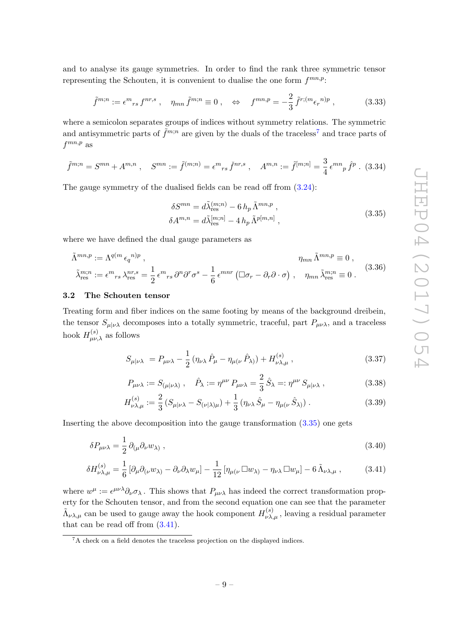and to analyse its gauge symmetries. In order to find the rank three symmetric tensor representing the Schouten, it is convenient to dualise the one form  $f^{mn,p}$ :

$$
\tilde{f}^{m;n} := \epsilon^m{}_{rs} f^{nr,s} \ , \quad \eta_{mn} \tilde{f}^{m;n} \equiv 0 \ , \quad \Leftrightarrow \quad f^{mn,p} = -\frac{2}{3} \tilde{f}^{r;(m} \epsilon_r{}^{n)p} \ , \tag{3.33}
$$

where a semicolon separates groups of indices without symmetry relations. The symmetric and antisymmetric parts of  $\tilde{f}^{m,n}$  are given by the duals of the traceless<sup>[7](#page-9-1)</sup> and trace parts of  $f^{mn,p}$  as

$$
\tilde{f}^{m;n} = S^{mn} + A^{m,n}, \quad S^{mn} := \tilde{f}^{(m;n)} = \epsilon^m{}_{rs} \, \check{f}^{nr,s} \,, \quad A^{m,n} := \tilde{f}^{[m;n]} = \frac{3}{4} \, \epsilon^{mn}{}_{p} \, \hat{f}^{p} \,. \tag{3.34}
$$

<span id="page-9-2"></span>The gauge symmetry of the dualised fields can be read off from [\(3.24\)](#page-8-2):

$$
\delta S^{mn} = d\tilde{\lambda}_{\text{res}}^{(m;n)} - 6 h_p \tilde{\Lambda}^{mn,p} ,
$$
  
\n
$$
\delta A^{m,n} = d\tilde{\lambda}_{\text{res}}^{[m;n]} - 4 h_p \tilde{\Lambda}^{p[m,n]} ,
$$
\n(3.35)

where we have defined the dual gauge parameters as

$$
\tilde{\Lambda}^{mn,p} := \Lambda^{q(m} \epsilon_q{}^{n)p} , \qquad \eta_{mn} \tilde{\Lambda}^{mn,p} \equiv 0 ,
$$
\n
$$
\tilde{\lambda}_{\text{res}}^{m;n} := \epsilon^m{}_{rs} \lambda_{\text{res}}^{nr,s} = \frac{1}{2} \epsilon^m{}_{rs} \partial^n \partial^r \sigma^s - \frac{1}{6} \epsilon^{mnr} \left( \Box \sigma_r - \partial_r \partial \cdot \sigma \right) , \quad \eta_{mn} \tilde{\lambda}_{\text{res}}^{m;n} \equiv 0 .
$$
\n(3.36)

#### <span id="page-9-0"></span>3.2 The Schouten tensor

Treating form and fiber indices on the same footing by means of the background dreibein, the tensor  $S_{\mu|\nu\lambda}$  decomposes into a totally symmetric, traceful, part  $P_{\mu\nu\lambda}$ , and a traceless hook  $H_{\mu\nu,\lambda}^{(s)}$  as follows

<span id="page-9-4"></span>
$$
S_{\mu|\nu\lambda} = P_{\mu\nu\lambda} - \frac{1}{2} (\eta_{\nu\lambda} \hat{P}_{\mu} - \eta_{\mu(\nu} \hat{P}_{\lambda)}) + H_{\nu\lambda,\mu}^{(s)}, \qquad (3.37)
$$

$$
P_{\mu\nu\lambda} := S_{(\mu|\nu\lambda)} , \quad \hat{P}_{\lambda} := \eta^{\mu\nu} P_{\mu\nu\lambda} = \frac{2}{3} \hat{S}_{\lambda} =: \eta^{\mu\nu} S_{\mu|\nu\lambda} , \qquad (3.38)
$$

<span id="page-9-3"></span>
$$
H_{\nu\lambda,\mu}^{(s)} := \frac{2}{3} \left( S_{\mu|\nu\lambda} - S_{(\nu|\lambda)\mu} \right) + \frac{1}{3} \left( \eta_{\nu\lambda} \hat{S}_{\mu} - \eta_{\mu(\nu} \hat{S}_{\lambda)} \right). \tag{3.39}
$$

Inserting the above decomposition into the gauge transformation [\(3.35\)](#page-9-2) one gets

$$
\delta P_{\mu\nu\lambda} = \frac{1}{2} \partial_{(\mu} \partial_{\nu} w_{\lambda)} , \qquad (3.40)
$$

$$
\delta H_{\nu\lambda,\mu}^{(s)} = \frac{1}{6} \left[ \partial_{\mu} \partial_{(\nu} w_{\lambda)} - \partial_{\nu} \partial_{\lambda} w_{\mu} \right] - \frac{1}{12} \left[ \eta_{\mu(\nu} \Box w_{\lambda)} - \eta_{\nu\lambda} \Box w_{\mu} \right] - 6 \tilde{\Lambda}_{\nu\lambda,\mu} , \qquad (3.41)
$$

where  $w^{\mu} := \epsilon^{\mu\nu\lambda}\partial_{\nu}\sigma_{\lambda}$ . This shows that  $P_{\mu\nu\lambda}$  has indeed the correct transformation property for the Schouten tensor, and from the second equation one can see that the parameter  $\tilde{\Lambda}_{\nu\lambda,\mu}$  can be used to gauge away the hook component  $H_{\nu\lambda,\mu}^{(s)}$ , leaving a residual parameter that can be read off from  $(3.41)$ .

<span id="page-9-1"></span> ${}^{7}$ A check on a field denotes the traceless projection on the displayed indices.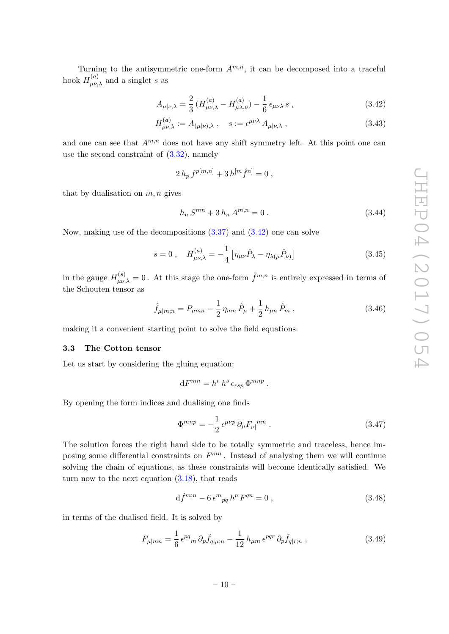Turning to the antisymmetric one-form  $A^{m,n}$ , it can be decomposed into a traceful hook  $H_{\mu\nu,\lambda}^{(a)}$  and a singlet s as

$$
A_{\mu|\nu,\lambda} = \frac{2}{3} \left( H^{(a)}_{\mu\nu,\lambda} - H^{(a)}_{\mu\lambda,\nu} \right) - \frac{1}{6} \epsilon_{\mu\nu\lambda} s \,, \tag{3.42}
$$

$$
H^{(a)}_{\mu\nu,\lambda} := A_{(\mu|\nu),\lambda} \ , \quad s := \epsilon^{\mu\nu\lambda} A_{\mu|\nu,\lambda} \ , \tag{3.43}
$$

and one can see that  $A^{m,n}$  does not have any shift symmetry left. At this point one can use the second constraint of  $(3.32)$ , namely

<span id="page-10-1"></span>
$$
2 h_p f^{p[m,n]} + 3 h^{[m} \hat{f}^{n]} = 0 ,
$$

that by dualisation on  $m, n$  gives

$$
h_n S^{mn} + 3 h_n A^{m,n} = 0.
$$
\n(3.44)

Now, making use of the decompositions [\(3.37\)](#page-9-4) and [\(3.42\)](#page-10-1) one can solve

$$
s = 0 \ , \quad H_{\mu\nu,\lambda}^{(a)} = -\frac{1}{4} \left[ \eta_{\mu\nu} \hat{P}_{\lambda} - \eta_{\lambda(\mu} \hat{P}_{\nu)} \right] \tag{3.45}
$$

in the gauge  $H_{\mu\nu,\lambda}^{(s)} = 0$ . At this stage the one-form  $\tilde{f}^{m;n}$  is entirely expressed in terms of the Schouten tensor as

<span id="page-10-2"></span>
$$
\tilde{f}_{\mu|m;n} = P_{\mu mn} - \frac{1}{2} \eta_{mn} \hat{P}_{\mu} + \frac{1}{2} h_{\mu n} \hat{P}_{m} , \qquad (3.46)
$$

making it a convenient starting point to solve the field equations.

#### <span id="page-10-0"></span>3.3 The Cotton tensor

Let us start by considering the gluing equation:

$$
dF^{mn} = h^r h^s \epsilon_{rsp} \Phi^{mnp} .
$$

By opening the form indices and dualising one finds

<span id="page-10-3"></span>
$$
\Phi^{mnp} = -\frac{1}{2} \epsilon^{\mu\nu p} \partial_{\mu} F_{\nu\vert}{}^{mn} \,. \tag{3.47}
$$

The solution forces the right hand side to be totally symmetric and traceless, hence imposing some differential constraints on  $F^{mn}$ . Instead of analysing them we will continue solving the chain of equations, as these constraints will become identically satisfied. We turn now to the next equation  $(3.18)$ , that reads

$$
d\tilde{f}^{m;n} - 6\,\epsilon^m{}_{pq}\,h^p\,F^{qn} = 0\,,\tag{3.48}
$$

in terms of the dualised field. It is solved by

$$
F_{\mu|mn} = \frac{1}{6} \epsilon^{pq}{}_m \partial_p \tilde{f}_{q|\mu;n} - \frac{1}{12} h_{\mu m} \epsilon^{pqr} \partial_p \tilde{f}_{q|r;n} \,, \tag{3.49}
$$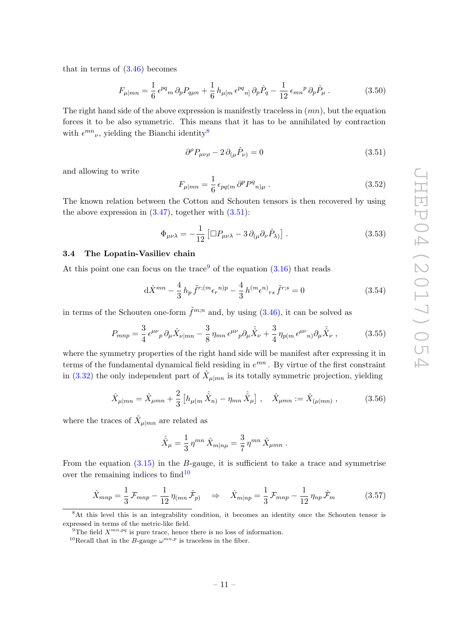that in terms of [\(3.46\)](#page-10-2) becomes

$$
F_{\mu|mn} = \frac{1}{6} \epsilon^{pq}{}_{m} \partial_{p} P_{q\mu n} + \frac{1}{6} h_{\mu[m} \epsilon^{pq}{}_{n]} \partial_{p} \hat{P}_{q} - \frac{1}{12} \epsilon_{mn}{}^{p} \partial_{p} \hat{P}_{\mu} . \tag{3.50}
$$

The right hand side of the above expression is manifestly traceless in  $(mn)$ , but the equation forces it to be also symmetric. This means that it has to be annihilated by contraction with  $\epsilon^{mn}{}_{\nu}$ , yielding the Bianchi identity<sup>[8](#page-11-1)</sup>

<span id="page-11-2"></span>
$$
\partial^{\rho}P_{\mu\nu\rho} - 2\,\partial_{(\mu}\hat{P}_{\nu)} = 0\tag{3.51}
$$

and allowing to write

$$
F_{\mu|mn} = \frac{1}{6} \epsilon_{pq(m} \partial^p P^q{}_{n)\mu} \,. \tag{3.52}
$$

The known relation between the Cotton and Schouten tensors is then recovered by using the above expression in  $(3.47)$ , together with  $(3.51)$ :

$$
\Phi_{\mu\nu\lambda} = -\frac{1}{12} \left[ \Box P_{\mu\nu\lambda} - 3 \partial_{(\mu} \partial_{\nu} \hat{P}_{\lambda)} \right]. \tag{3.53}
$$

#### <span id="page-11-0"></span>3.4 The Lopatin-Vasiliev chain

At this point one can focus on the trace<sup>[9](#page-11-3)</sup> of the equation  $(3.16)$  that reads

$$
d\hat{X}^{mn} - \frac{4}{3} h_p \tilde{f}^{r;(m} \epsilon_r{}^{n)p} - \frac{4}{3} h^{(m} \epsilon^{n)}{}_{rs} \tilde{f}^{r;s} = 0
$$
\n(3.54)

in terms of the Schouten one-form  $\tilde{f}^{m,n}$  and, by using  $(3.46)$ , it can be solved as

$$
P_{mnp} = \frac{3}{4} \epsilon^{\mu\nu}{}_p \partial_\mu \hat{X}_{\nu|mn} - \frac{3}{8} \eta_{mn} \epsilon^{\mu\nu}{}_p \partial_\mu \hat{X}_{\nu} + \frac{3}{4} \eta_{p(m} \epsilon^{\mu\nu}{}_{n)} \partial_\mu \hat{X}_{\nu} , \qquad (3.55)
$$

where the symmetry properties of the right hand side will be manifest after expressing it in terms of the fundamental dynamical field residing in  $e^{mn}$ . By virtue of the first constraint in [\(3.32\)](#page-8-3) the only independent part of  $\hat{X}_{\mu|mn}$  is its totally symmetric projection, yielding

$$
\hat{X}_{\mu|mn} = \hat{X}_{\mu mn} + \frac{2}{3} \left[ h_{\mu(m} \hat{X}_n) - \eta_{mn} \hat{X}_{\mu} \right], \quad \hat{X}_{\mu mn} := \hat{X}_{(\mu|mn)}, \quad (3.56)
$$

where the traces of  $\hat{X}_{\mu|mn}$  are related as

$$
\hat{\hat{X}}_{\mu} = \frac{1}{3} \eta^{mn} \hat{X}_{m|n\mu} = \frac{3}{7} \eta^{mn} \hat{X}_{\mu mn} .
$$

From the equation  $(3.15)$  in the B-gauge, it is sufficient to take a trace and symmetrise over the remaining indices to  $find<sup>10</sup>$  $find<sup>10</sup>$  $find<sup>10</sup>$ 

$$
\hat{X}_{mnp} = \frac{1}{3} \mathcal{F}_{mnp} - \frac{1}{12} \eta_{(mn} \hat{\mathcal{F}}_{p)} \Rightarrow \hat{X}_{m|np} = \frac{1}{3} \mathcal{F}_{mnp} - \frac{1}{12} \eta_{np} \hat{\mathcal{F}}_{m}
$$
(3.57)

<span id="page-11-1"></span><sup>&</sup>lt;sup>8</sup>At this level this is an integrability condition, it becomes an identity once the Schouten tensor is expressed in terms of the metric-like field.

<span id="page-11-3"></span><sup>&</sup>lt;sup>9</sup>The field  $X^{mn,pq}$  is pure trace, hence there is no loss of information.

<span id="page-11-4"></span><sup>&</sup>lt;sup>10</sup>Recall that in the *B*-gauge  $\omega^{mn,p}$  is traceless in the fiber.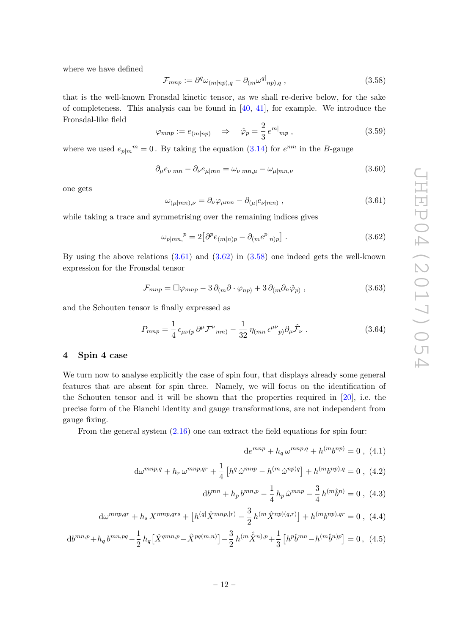where we have defined

<span id="page-12-3"></span>
$$
\mathcal{F}_{mnp} := \partial^q \omega_{(m|np),q} - \partial_{(m} \omega^{q|}{}_{np),q} \,, \tag{3.58}
$$

that is the well-known Fronsdal kinetic tensor, as we shall re-derive below, for the sake of completeness. This analysis can be found in  $[40, 41]$  $[40, 41]$  $[40, 41]$ , for example. We introduce the Fronsdal-like field

$$
\varphi_{mnp} := e_{(m|np)} \quad \Rightarrow \quad \hat{\varphi}_p = \frac{2}{3} e^{m|_{mp}}, \tag{3.59}
$$

where we used  $e_{p|m}^m = 0$ . By taking the equation [\(3.14\)](#page-7-4) for  $e^{mn}$  in the B-gauge

$$
\partial_{\mu} e_{\nu|mn} - \partial_{\nu} e_{\mu|mn} = \omega_{\nu|mn,\mu} - \omega_{\mu|mn,\nu} \tag{3.60}
$$

one gets

<span id="page-12-1"></span>
$$
\omega_{(\mu|mn),\nu} = \partial_{\nu}\varphi_{\mu mn} - \partial_{(\mu|}e_{\nu|mn)}, \qquad (3.61)
$$

while taking a trace and symmetrising over the remaining indices gives

<span id="page-12-2"></span>
$$
\omega_{p|mn,}{}^p = 2 \left[ \partial^p e_{(m|n)p} - \partial_{(m} e^{p|n)p} \right]. \tag{3.62}
$$

By using the above relations  $(3.61)$  and  $(3.62)$  in  $(3.58)$  one indeed gets the well-known expression for the Fronsdal tensor

$$
\mathcal{F}_{mnp} = \Box \varphi_{mnp} - 3 \,\partial_{(m}\partial \cdot \varphi_{np)} + 3 \,\partial_{(m}\partial_n \hat{\varphi}_p) \,, \tag{3.63}
$$

and the Schouten tensor is finally expressed as

$$
P_{mnp} = \frac{1}{4} \epsilon_{\mu\nu(p} \partial^{\mu} \mathcal{F}^{\nu}{}_{mn}) - \frac{1}{32} \eta_{(mn} \epsilon^{\mu\nu}{}_{p)} \partial_{\mu} \hat{\mathcal{F}}_{\nu} . \tag{3.64}
$$

## <span id="page-12-0"></span>4 Spin 4 case

We turn now to analyse explicitly the case of spin four, that displays already some general features that are absent for spin three. Namely, we will focus on the identification of the Schouten tensor and it will be shown that the properties required in [\[20\]](#page-26-1), i.e. the precise form of the Bianchi identity and gauge transformations, are not independent from gauge fixing.

From the general system [\(2.16\)](#page-6-1) one can extract the field equations for spin four:

$$
de^{mnp} + h_q \omega^{mnp,q} + h^{(m}b^{np}) = 0 , (4.1)
$$

$$
d\omega^{mnp,q} + h_r \omega^{mnp,qr} + \frac{1}{4} \left[ h^q \hat{\omega}^{mnp} - h^{(m} \hat{\omega}^{np)q} \right] + h^{(m} b^{np),q} = 0 , \tag{4.2}
$$

$$
db^{mn} + h_p b^{mn,p} - \frac{1}{4} h_p \hat{\omega}^{mnp} - \frac{3}{4} h^{(m} \hat{b}^n) = 0 , (4.3)
$$

$$
d\omega^{mnp,qr} + h_s X^{mnp,qrs} + \left[h^{(q)}\hat{X}^{mnp,|r)} - \frac{3}{2}h^{(m}\hat{X}^{np)(q,r)}\right] + h^{(m}b^{np),qr} = 0 \ , \ (4.4)
$$

$$
db^{mn,p} + h_q b^{mn,pq} - \frac{1}{2} h_q \left[ \hat{X}^{qmn,p} - \hat{X}^{pq(m,n)} \right] - \frac{3}{2} h^{(m} \hat{X}^{n),p} + \frac{1}{3} \left[ h^p \hat{b}^{mn} - h^{(m} \hat{b}^{n)p} \right] = 0, \tag{4.5}
$$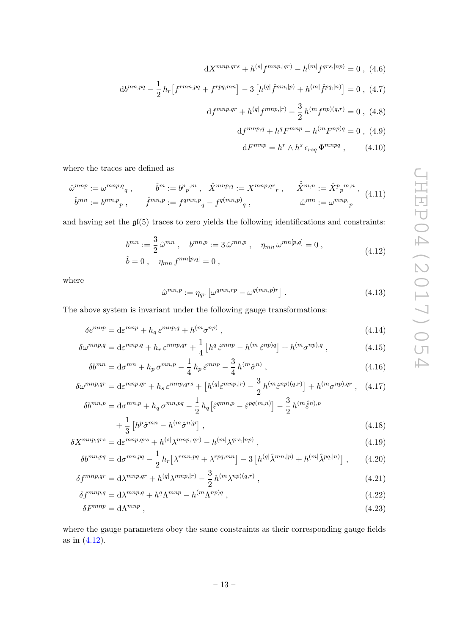$dX^{mnp,qrs} + h^{(s)}f^{mnp,|qr)} - h^{(m)}f^{qrs,|np)} = 0$ , (4.6)  $\mathrm{d}b^{mn,pq} - \frac{1}{2}$  $\frac{1}{2}h_r\left[f^{rmn,pq}+f^{rpq,mn}\right]-3\left[h^{(q)}\hat{f}^{mn,|p)}+h^{(m)}\hat{f}^{pq,|n)}\right]=0\ ,\ (4.7)$  $\mathrm{d}f^{mnp,qr}+h^{(q)}f^{mnp,|r)}-\frac{3}{2}$  $\frac{3}{2}h^{(m}f^{np)(q,r)}=0$ , (4.8)

<span id="page-13-1"></span>
$$
df^{mnp,q} + h^q F^{mnp} - h^{(m} F^{np)q} = 0 , (4.9)
$$

<span id="page-13-2"></span>
$$
dF^{mnp} = h^r \wedge h^s \epsilon_{rsq} \Phi^{mnpq} , \qquad (4.10)
$$

where the traces are defined as

$$
\hat{\omega}^{mnp} := \omega^{mnp,q}, \qquad \hat{b}^m := b^p{}_{p}{}^{,m}, \quad \hat{X}^{mnp,q} := X^{mnp,qr}{}_{r}, \qquad \hat{\hat{X}}^{m,n} := \hat{X}^p{}_{p}{}^{m,n},
$$
  

$$
\hat{b}^{mn} := b^{mn,p}{}_{p}, \qquad \hat{f}^{mn,p} := f^{qmn,p}{}_{q} - f^{q(mn,p)}{}_{q}, \qquad \hat{\omega}^{mn} := \omega^{mnp}{}_{p}
$$
  
(4.11)

<span id="page-13-0"></span>and having set the  $\mathfrak{gl}(5)$  traces to zero yields the following identifications and constraints:

$$
b^{mn} := \frac{3}{2} \hat{\omega}^{mn} , \quad b^{mn,p} := 3 \hat{\omega}^{mn,p} , \quad \eta_{mn} \, \omega^{mn[p,q]} = 0 ,
$$
  
\n
$$
\hat{b} = 0 , \quad \eta_{mn} \, f^{mn[p,q]} = 0 ,
$$
\n(4.12)

where

$$
\hat{\omega}^{mn,p} := \eta_{qr} \left[ \omega^{qmn,rp} - \omega^{q(mn,p)r} \right]. \tag{4.13}
$$

The above system is invariant under the following gauge transformations:

$$
\delta e^{mnp} = d\varepsilon^{mnp} + h_q \varepsilon^{mnp,q} + h^{(m} \sigma^{np}) \,, \tag{4.14}
$$

$$
\delta\omega^{mnp,q} = d\varepsilon^{mnp,q} + h_r \varepsilon^{mnp,qr} + \frac{1}{4} \left[ h^q \varepsilon^{mnp} - h^{(m} \varepsilon^{np)q} \right] + h^{(m} \sigma^{np),q} ,\qquad (4.15)
$$

$$
\delta b^{mn} = \mathrm{d}\sigma^{mn} + h_p \,\sigma^{mn,p} - \frac{1}{4} \, h_p \,\hat{\varepsilon}^{mnp} - \frac{3}{4} \, h^{(m}\hat{\sigma}^{n)} \,,\tag{4.16}
$$

$$
\delta\omega^{mnp,qr} = \mathrm{d}\varepsilon^{mnp,qr} + h_s \,\varepsilon^{mnp,qrs} + \left[h^{(q)}\varepsilon^{mnp,|r)} - \frac{3}{2}h^{(m}\varepsilon^{np)(q,r)}\right] + h^{(m}\sigma^{np),qr} \;, \tag{4.17}
$$

$$
\delta b^{mn,p} = \mathrm{d}\sigma^{mn,p} + h_q \,\sigma^{mn,pq} - \frac{1}{2} h_q \big[ \hat{\varepsilon}^{qmn,p} - \hat{\varepsilon}^{pq(m,n)} \big] - \frac{3}{2} h^{(m} \hat{\varepsilon}^{n),p}
$$

$$
+\frac{1}{3}\left[h^p\hat{\sigma}^{mn} - h^{(m}\hat{\sigma}^{n)p}\right],\tag{4.18}
$$

$$
\delta X^{mnp,qrs} = d\varepsilon^{mnp,qrs} + h^{(s|\lambda^{mnp,|qr})} - h^{(m|\lambda^{qrs,|np})}, \qquad (4.19)
$$

$$
\delta b^{mn,pq} = \mathrm{d}\sigma^{mn,pq} - \frac{1}{2} h_r \left[ \lambda^{rmn,pq} + \lambda^{rpq,mn} \right] - 3 \left[ h^{(q)} \hat{\lambda}^{mn,|p\rangle} + h^{(m)} \hat{\lambda}^{pq,|n\rangle} \right],\tag{4.20}
$$

$$
\delta f^{mnp,qr} = \mathrm{d}\lambda^{mnp,qr} + h^{(q)}\lambda^{mnp,|r)} - \frac{3}{2}h^{(m}\lambda^{np)(q,r)}\,,\tag{4.21}
$$

$$
\delta f^{mnp,q} = \mathrm{d}\lambda^{mnp,q} + h^q \Lambda^{mnp} - h^{(m} \Lambda^{np)q} \,,\tag{4.22}
$$

$$
\delta F^{mnp} = \mathrm{d}\Lambda^{mnp} \,,\tag{4.23}
$$

where the gauge parameters obey the same constraints as their corresponding gauge fields as in [\(4.12\)](#page-13-0).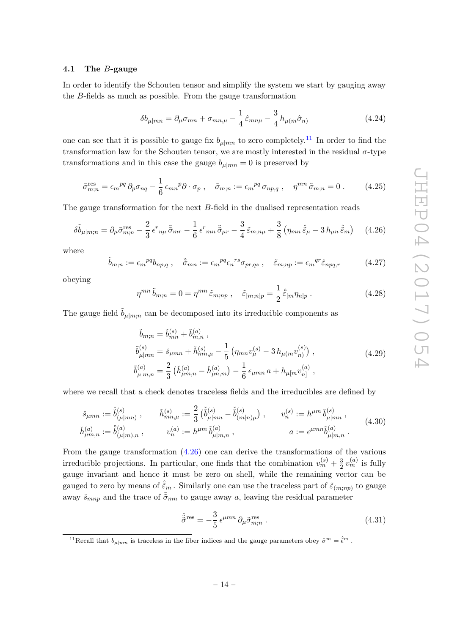#### <span id="page-14-0"></span>4.1 The B-gauge

In order to identify the Schouten tensor and simplify the system we start by gauging away the B-fields as much as possible. From the gauge transformation

$$
\delta b_{\mu|mn} = \partial_{\mu}\sigma_{mn} + \sigma_{mn,\mu} - \frac{1}{4}\hat{\varepsilon}_{mn\mu} - \frac{3}{4}h_{\mu(m}\hat{\sigma}_n)
$$
(4.24)

one can see that it is possible to gauge fix  $b_{\mu|mn}$  to zero completely.<sup>[11](#page-14-1)</sup> In order to find the transformation law for the Schouten tensor, we are mostly interested in the residual  $\sigma$ -type transformations and in this case the gauge  $b_{\mu|mn} = 0$  is preserved by

$$
\tilde{\sigma}_{m;n}^{\text{res}} = \epsilon_m{}^{pq} \, \partial_p \sigma_{nq} - \frac{1}{6} \, \epsilon_{mn}{}^p \partial \cdot \sigma_p \,, \quad \tilde{\sigma}_{m;n} := \epsilon_m{}^{pq} \, \sigma_{np,q} \,, \quad \eta^{mn} \, \tilde{\sigma}_{m;n} = 0 \,. \tag{4.25}
$$

The gauge transformation for the next B-field in the dualised representation reads

<span id="page-14-2"></span>
$$
\delta\tilde{b}_{\mu|m;n} = \partial_{\mu}\tilde{\sigma}_{m;n}^{\text{res}} - \frac{2}{3}\epsilon^{r}{}_{n\mu}\tilde{\tilde{\sigma}}_{mr} - \frac{1}{6}\epsilon^{r}{}_{mn}\tilde{\tilde{\sigma}}_{\mu r} - \frac{3}{4}\tilde{\varepsilon}_{m;n\mu} + \frac{3}{8}\left(\eta_{mn}\tilde{\tilde{\varepsilon}}_{\mu} - 3\,h_{\mu n}\,\tilde{\tilde{\varepsilon}}_{m}\right) \tag{4.26}
$$

where

$$
\tilde{b}_{m;n} := \epsilon_m{}^{pq} b_{np,q} \ , \quad \tilde{\tilde{\sigma}}_{mn} := \epsilon_m{}^{pq} \epsilon_n{}^{rs} \sigma_{pr,qs} \ , \quad \tilde{\varepsilon}_{m;np} := \epsilon_m{}^{qr} \hat{\varepsilon}_{npq,r} \tag{4.27}
$$

obeying

$$
\eta^{mn}\tilde{b}_{m;n} = 0 = \eta^{mn}\tilde{\varepsilon}_{m;np} , \quad \tilde{\varepsilon}_{[m;n]p} = \frac{1}{2}\hat{\tilde{\varepsilon}}_{[m}\eta_{n]p} . \tag{4.28}
$$

The gauge field  $\ddot{b}_{\mu|m;n}$  can be decomposed into its irreducible components as

$$
\tilde{b}_{m;n} = \tilde{b}_{mn}^{(s)} + \tilde{b}_{m,n}^{(a)},
$$
\n
$$
\tilde{b}_{\mu|mn}^{(s)} = \tilde{s}_{\mu mn} + \tilde{h}_{mn,\mu}^{(s)} - \frac{1}{5} \left( \eta_{mn} v_{\mu}^{(s)} - 3 h_{\mu(m} v_{n)}^{(s)} \right),
$$
\n
$$
\tilde{b}_{\mu|m,n}^{(a)} = \frac{2}{3} \left( \tilde{h}_{\mu m,n}^{(a)} - \tilde{h}_{\mu n,m}^{(a)} \right) - \frac{1}{6} \epsilon_{\mu mn} a + h_{\mu[m} v_{n]}^{(a)},
$$
\n(4.29)

where we recall that a check denotes traceless fields and the irreducibles are defined by

$$
\check{s}_{\mu mn} := \check{\check{b}}_{(\mu|mn)}^{(s)}, \qquad \check{h}_{mn,\mu}^{(s)} := \frac{2}{3} \left( \check{b}_{\mu|mn}^{(s)} - \check{b}_{(m|n)\mu}^{(s)} \right), \qquad v_n^{(s)} := h^{\mu m} \, \check{b}_{\mu|mn}^{(s)},
$$
\n
$$
\check{h}_{\mu m,n}^{(a)} := \check{b}_{(\mu|m),n}^{(a)}, \qquad v_n^{(a)} := h^{\mu m} \, \check{b}_{\mu|m,n}^{(a)}, \qquad a := \epsilon^{\mu mn} \tilde{b}_{\mu|m,n}^{(a)}.
$$
\n(4.30)

From the gauge transformation [\(4.26\)](#page-14-2) one can derive the transformations of the various irreducible projections. In particular, one finds that the combination  $v_m^{(s)} + \frac{3}{2}$  $\frac{3}{2}v_m^{(a)}$  is fully gauge invariant and hence it must be zero on shell, while the remaining vector can be gauged to zero by means of  $\hat{\tilde{\varepsilon}}_m$  . Similarly one can use the traceless part of  $\tilde{\varepsilon}_{(m;np)}$  to gauge away  $\check{s}_{mnp}$  and the trace of  $\tilde{\sigma}_{mn}$  to gauge away a, leaving the residual parameter

$$
\hat{\tilde{\sigma}}^{\text{res}} = -\frac{3}{5} \epsilon^{\mu mn} \partial_{\mu} \tilde{\sigma}_{m;n}^{\text{res}} . \tag{4.31}
$$

<span id="page-14-1"></span><sup>11</sup>Recall that  $b_{\mu|mn}$  is traceless in the fiber indices and the gauge parameters obey  $\hat{\sigma}^m = \hat{\epsilon}^m$ .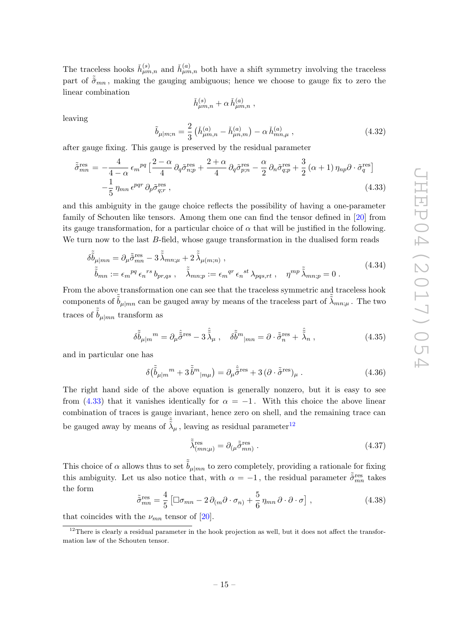The traceless hooks  $\check{h}^{(s)}_{\mu m,n}$  and  $\check{h}^{(a)}_{\mu m,n}$  both have a shift symmetry involving the traceless part of  $\tilde{\tilde{\sigma}}_{mn}$ , making the gauging ambiguous; hence we choose to gauge fix to zero the linear combination

$$
\check{h}_{\mu m,n}^{(s)} + \alpha \, \check{h}_{\mu m,n}^{(a)} \;,
$$

leaving

$$
\tilde{b}_{\mu|m;n} = \frac{2}{3} \left( \check{h}_{\mu m,n}^{(a)} - \check{h}_{\mu n,m}^{(a)} \right) - \alpha \, \check{h}_{mn,\mu}^{(a)} \,, \tag{4.32}
$$

after gauge fixing. This gauge is preserved by the residual parameter

<span id="page-15-0"></span>
$$
\tilde{\tilde{\sigma}}_{mn}^{\text{res}} = -\frac{4}{4-\alpha} \epsilon_m^{pq} \left[ \frac{2-\alpha}{4} \partial_q \tilde{\sigma}_{n;p}^{\text{res}} + \frac{2+\alpha}{4} \partial_q \tilde{\sigma}_{p;n}^{\text{res}} - \frac{\alpha}{2} \partial_n \tilde{\sigma}_{q;p}^{\text{res}} + \frac{3}{2} (\alpha+1) \eta_{np} \partial \cdot \tilde{\sigma}_q^{\text{res}} \right] -\frac{1}{5} \eta_{mn} \epsilon^{pqr} \partial_p \tilde{\sigma}_{q;r}^{\text{res}} ,
$$
\n(4.33)

and this ambiguity in the gauge choice reflects the possibility of having a one-parameter family of Schouten like tensors. Among them one can find the tensor defined in [\[20\]](#page-26-1) from its gauge transformation, for a particular choice of  $\alpha$  that will be justified in the following. We turn now to the last B-field, whose gauge transformation in the dualised form reads

$$
\delta\tilde{\tilde{b}}_{\mu|mn} = \partial_{\mu}\tilde{\tilde{\sigma}}_{mn}^{\text{res}} - 3\tilde{\tilde{\lambda}}_{mn;\mu} + 2\tilde{\tilde{\lambda}}_{\mu(m;n)}, \tilde{\tilde{b}}_{mn} := \epsilon_m{}^{pq} \epsilon_n{}^{rs} b_{pr,qs} , \quad \tilde{\tilde{\lambda}}_{mn;p} := \epsilon_m{}^{qr} \epsilon_n{}^{st} \lambda_{pqs,rt} , \quad \eta^{mp} \tilde{\tilde{\lambda}}_{mn;p} = 0.
$$
\n(4.34)

From the above transformation one can see that the traceless symmetric and traceless hook components of  $\tilde{b}_{\mu|mn}$  can be gauged away by means of the traceless part of  $\tilde{\tilde{\lambda}}_{mn;\mu}$  . The two traces of  $\tilde{b}_{\mu|mn}$  transform as

$$
\delta\tilde{\tilde{b}}_{\mu|m}{}^{m} = \partial_{\mu}\hat{\tilde{\tilde{\sigma}}}^{\text{res}} - 3\,\hat{\tilde{\lambda}}_{\mu}\,, \quad \delta\tilde{\tilde{b}}^{m}{}_{|mn} = \partial \cdot \tilde{\tilde{\sigma}}^{\text{res}}_{n} + \hat{\tilde{\lambda}}_{n}\,, \tag{4.35}
$$

and in particular one has

$$
\delta(\tilde{\tilde{b}}_{\mu|m}{}^{m} + 3\tilde{\tilde{b}}^{m}{}_{|m\mu}) = \partial_{\mu}\hat{\tilde{\sigma}}^{\text{res}} + 3\left(\partial \cdot \tilde{\tilde{\sigma}}^{\text{res}}\right)_{\mu}.
$$
\n(4.36)

The right hand side of the above equation is generally nonzero, but it is easy to see from [\(4.33\)](#page-15-0) that it vanishes identically for  $\alpha = -1$ . With this choice the above linear combination of traces is gauge invariant, hence zero on shell, and the remaining trace can be gauged away by means of  $\hat{\tilde{\lambda}}_{\mu}$ , leaving as residual parameter<sup>[12](#page-15-1)</sup>

$$
\tilde{\tilde{\lambda}}_{(mn;\mu)}^{\text{res}} = \partial_{(\mu}\tilde{\tilde{\sigma}}_{mn)}^{\text{res}}.
$$
\n(4.37)

This choice of  $\alpha$  allows thus to set  $\tilde{b}_{\mu|mn}$  to zero completely, providing a rationale for fixing this ambiguity. Let us also notice that, with  $\alpha = -1$ , the residual parameter  $\tilde{\tilde{\sigma}}_{mn}^{res}$  takes the form

<span id="page-15-2"></span>
$$
\tilde{\tilde{\sigma}}_{mn}^{\text{res}} = \frac{4}{5} \left[ \Box \sigma_{mn} - 2 \, \partial_{(m} \partial \cdot \sigma_{n)} + \frac{5}{6} \, \eta_{mn} \, \partial \cdot \partial \cdot \sigma \right],\tag{4.38}
$$

that coincides with the  $\nu_{mn}$  tensor of [\[20\]](#page-26-1).

<span id="page-15-1"></span> $12$ There is clearly a residual parameter in the hook projection as well, but it does not affect the transformation law of the Schouten tensor.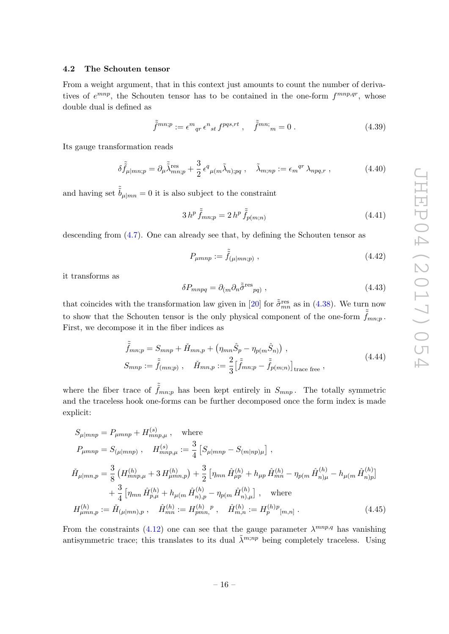#### <span id="page-16-0"></span>4.2 The Schouten tensor

From a weight argument, that in this context just amounts to count the number of derivatives of  $e^{mnp}$ , the Schouten tensor has to be contained in the one-form  $f^{mnp,qr}$ , whose double dual is defined as

$$
\tilde{\tilde{f}}^{mn;p} := \epsilon^m{}_{qr} \epsilon^n{}_{st} f^{pqs,rt} \ , \quad \tilde{\tilde{f}}^{mn;}{}_{m} = 0 \ . \tag{4.39}
$$

Its gauge transformation reads

$$
\delta \tilde{\tilde{f}}_{\mu|mn;p} = \partial_{\mu} \tilde{\tilde{\lambda}}_{mn;p}^{\text{res}} + \frac{3}{2} \epsilon^{q}{}_{\mu(m} \tilde{\lambda}_{n);pq} , \quad \tilde{\lambda}_{m;np} := \epsilon_m{}^{qr} \lambda_{npq,r} , \qquad (4.40)
$$

and having set  $\tilde{b}_{\mu|m} = 0$  it is also subject to the constraint

<span id="page-16-2"></span>
$$
3\,h^p\,\tilde{\tilde{f}}_{mn;p} = 2\,h^p\,\tilde{\tilde{f}}_{p(m;n)}\tag{4.41}
$$

descending from [\(4.7\)](#page-13-1). One can already see that, by defining the Schouten tensor as

$$
P_{\mu m n p} := \tilde{\tilde{f}}_{(\mu|m n; p)}, \qquad (4.42)
$$

it transforms as

<span id="page-16-3"></span><span id="page-16-1"></span>
$$
\delta P_{mnpq} = \partial_{(m}\partial_n \tilde{\tilde{\sigma}}^{\text{res}}_{pq)},\tag{4.43}
$$

that coincides with the transformation law given in [\[20\]](#page-26-1) for  $\tilde{\tilde{\sigma}}_{mn}^{res}$  as in [\(4.38\)](#page-15-2). We turn now to show that the Schouten tensor is the only physical component of the one-form  $f_{mn;p}$ . First, we decompose it in the fiber indices as

$$
\tilde{\tilde{f}}_{mn;p} = S_{mnp} + \check{H}_{mn,p} + \left(\eta_{mn}\hat{S}_p - \eta_{p(m}\hat{S}_n)\right),
$$
\n
$$
S_{mnp} := \tilde{\tilde{f}}_{(mn;p)}, \quad \check{H}_{mn,p} := \frac{2}{3} \left[\tilde{\tilde{f}}_{mn;p} - \tilde{\tilde{f}}_{p(m;n)}\right]_{\text{trace free}},
$$
\n(4.44)

where the fiber trace of  $\tilde{f}_{mn;p}$  has been kept entirely in  $S_{mnp}$ . The totally symmetric and the traceless hook one-forms can be further decomposed once the form index is made explicit:

$$
S_{\mu|mnp} = P_{\mu mnp} + H_{mnp,\mu}^{(s)}, \quad \text{where}
$$
  
\n
$$
P_{\mu mnp} = S_{(\mu|mnp)}, \quad H_{mnp,\mu}^{(s)} := \frac{3}{4} \left[ S_{\mu|mnp} - S_{(m|np)\mu} \right],
$$
  
\n
$$
\tilde{H}_{\mu|mn,p} = \frac{3}{8} \left( H_{mnp,\mu}^{(h)} + 3 H_{\mu mn,p}^{(h)} \right) + \frac{3}{2} \left[ \eta_{mn} \hat{H}_{\mu p}^{(h)} + h_{\mu p} \hat{H}_{mn}^{(h)} - \eta_{p(m} \hat{H}_{n)\mu}^{(h)} - h_{\mu(m} \hat{H}_{n)p}^{(h)} \right]
$$
  
\n
$$
+ \frac{3}{4} \left[ \eta_{mn} \hat{H}_{p,\mu}^{(h)} + h_{\mu(m} \hat{H}_{n),p}^{(h)} - \eta_{p(m} \hat{H}_{n),\mu}^{(h)} \right], \quad \text{where}
$$
  
\n
$$
H_{\mu mn,p}^{(h)} := \check{H}_{(\mu|mn),p} , \quad \hat{H}_{mn}^{(h)} := H_{pmn}^{(h)}, \quad \hat{H}_{m,n}^{(h)} := H_{p}^{(h)p}[m,n] .
$$
\n(4.45)

From the constraints [\(4.12\)](#page-13-0) one can see that the gauge parameter  $\lambda^{mnp,q}$  has vanishing antisymmetric trace; this translates to its dual  $\tilde{\lambda}^{m;np}$  being completely traceless. Using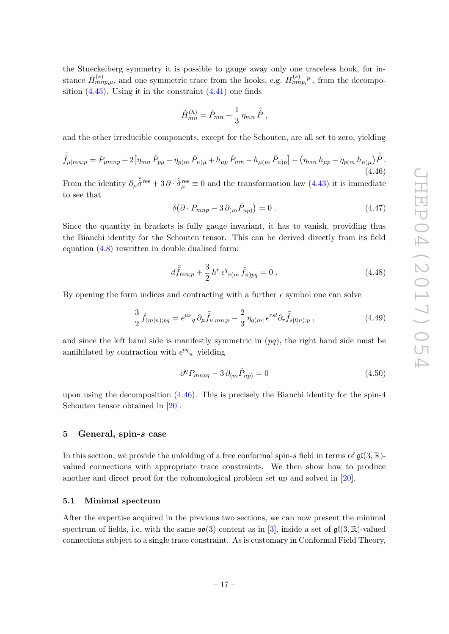the Stueckelberg symmetry it is possible to gauge away only one traceless hook, for instance  $\check{H}_{mnp,\mu}^{(s)}$ , and one symmetric trace from the hooks, e.g.  $H_{mnp}^{(s)}$ , from the decomposition  $(4.45)$ . Using it in the constraint  $(4.41)$  one finds

$$
\hat{H}_{mn}^{(h)} = \hat{P}_{mn} - \frac{1}{3} \,\eta_{mn} \,\hat{\hat{P}}\;,
$$

and the other irreducible components, except for the Schouten, are all set to zero, yielding

<span id="page-17-2"></span>
$$
\tilde{\tilde{f}}_{\mu|mn;p} = P_{\mu mnp} + 2 \left[ \eta_{mn} \hat{P}_{p\mu} - \eta_{p(m} \hat{P}_{n)\mu} + h_{\mu p} \hat{P}_{mn} - h_{\mu(m} \hat{P}_{n)p} \right] - \left( \eta_{mn} h_{\mu p} - \eta_{p(m} h_{n)\mu} \right) \hat{\hat{P}}.
$$
\n(4.46)

From the identity  $\partial_\mu \hat{\tilde{\sigma}}^{\text{res}} + 3 \partial \cdot \tilde{\tilde{\sigma}}^{\text{res}}_\mu \equiv 0$  and the transformation law [\(4.43\)](#page-16-3) it is immediate to see that

$$
\delta\big(\partial \cdot P_{mnp} - 3\,\partial_{(m}\hat{P}_{np)}\big) = 0\,. \tag{4.47}
$$

Since the quantity in brackets is fully gauge invariant, it has to vanish, providing thus the Bianchi identity for the Schouten tensor. This can be derived directly from its field equation [\(4.8\)](#page-13-2) rewritten in double dualised form:

$$
d\tilde{\tilde{f}}_{mn;p} + \frac{3}{2} h^r \epsilon^q_{\ r(m} \tilde{f}_{n)pq} = 0 . \qquad (4.48)
$$

By opening the form indices and contracting with a further  $\epsilon$  symbol one can solve

$$
\frac{3}{2}\tilde{f}_{(m|n);pq} = \epsilon^{\mu\nu}{}_q \partial_\mu \tilde{f}_{\nu|mn;p} - \frac{2}{3}\eta_{q(m|}\,\epsilon^{rst}\partial_r \tilde{f}_{s|t|n);p} \,,\tag{4.49}
$$

and since the left hand side is manifestly symmetric in  $(pq)$ , the right hand side must be annihilated by contraction with  $\epsilon^{pq}$ <sub>u</sub> yielding

$$
\partial^q P_{mnpq} - 3 \partial_{(m} \hat{P}_{np)} = 0 \tag{4.50}
$$

upon using the decomposition  $(4.46)$ . This is precisely the Bianchi identity for the spin-4 Schouten tensor obtained in [\[20\]](#page-26-1).

### <span id="page-17-0"></span>5 General, spin-s case

In this section, we provide the unfolding of a free conformal spin-s field in terms of  $\mathfrak{gl}(3,\mathbb{R})$ valued connections with appropriate trace constraints. We then show how to produce another and direct proof for the cohomological problem set up and solved in [\[20\]](#page-26-1).

#### <span id="page-17-1"></span>5.1 Minimal spectrum

After the expertise acquired in the previous two sections, we can now present the minimal spectrum of fields, i.e. with the same  $\mathfrak{so}(3)$  content as in [\[3\]](#page-25-3), inside a set of  $\mathfrak{gl}(3,\mathbb{R})$ -valued connections subject to a single trace constraint. As is customary in Conformal Field Theory,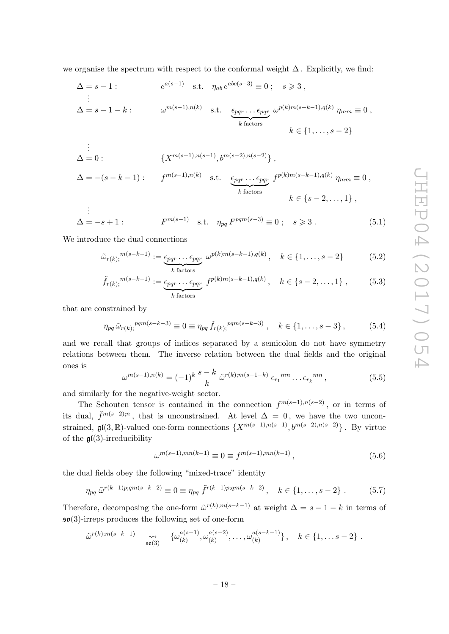we organise the spectrum with respect to the conformal weight  $\Delta$ . Explicitly, we find:

$$
\Delta = s - 1: \qquad e^{a(s-1)} \quad \text{s.t.} \quad \eta_{ab} e^{abc(s-3)} \equiv 0; \quad s \geq 3,
$$
  
\n
$$
\vdots
$$
  
\n
$$
\Delta = s - 1 - k: \qquad \omega^{m(s-1), n(k)} \quad \text{s.t.} \quad \underbrace{\epsilon_{pqr} \dots \epsilon_{pqr}}_{k \text{ factors}} \omega^{p(k)m(s-k-1), q(k)} \eta_{mm} \equiv 0,
$$
  
\n
$$
k \in \{1, \dots, s - 2\}
$$

$$
\begin{aligned}\n\vdots \\
\Delta &= 0: \qquad \{X^{m(s-1), n(s-1)}, b^{m(s-2), n(s-2)}\} \,, \\
\Delta &= -(s-k-1): \qquad f^{m(s-1), n(k)} \quad \text{s.t.} \quad \underbrace{\epsilon_{pqr} \dots \epsilon_{pqr}}_{k \text{ factors}} f^{p(k)m(s-k-1), q(k)} \eta_{mm} \equiv 0 \,, \\
&\qquad k \in \{s-2, \dots, 1\} \,,\n\end{aligned}
$$

$$
\vdots
$$
  
\n
$$
\Delta = -s + 1: \qquad F^{m(s-1)} \quad \text{s.t.} \quad \eta_{pq} F^{pqm(s-3)} \equiv 0 \; ; \quad s \geq 3 \; . \tag{5.1}
$$

We introduce the dual connections

$$
\tilde{\omega}_{r(k)}^{m(s-k-1)} := \underbrace{\epsilon_{pqr} \dots \epsilon_{pqr}}_{k \text{ factors}} \omega^{p(k)m(s-k-1), q(k)}, \quad k \in \{1, \dots, s-2\} \tag{5.2}
$$

$$
\tilde{f}_{r(k);}^{m(s-k-1)} := \underbrace{\epsilon_{pqr} \dots \epsilon_{pqr}}_{k \text{ factors}} f^{p(k)m(s-k-1), q(k)}, \quad k \in \{s-2, \dots, 1\} \,, \tag{5.3}
$$

that are constrained by

$$
\eta_{pq} \tilde{\omega}_{r(k)}{}^{pqm(s-k-3)} \equiv 0 \equiv \eta_{pq} \tilde{f}_{r(k)}{}^{pqm(s-k-3)} , \quad k \in \{1, \ldots, s-3\} , \tag{5.4}
$$

and we recall that groups of indices separated by a semicolon do not have symmetry relations between them. The inverse relation between the dual fields and the original ones is

$$
\omega^{m(s-1),n(k)} = (-1)^k \frac{s-k}{k} \tilde{\omega}^{r(k);m(s-1-k)} \epsilon_{r_1}^{mn} \dots \epsilon_{r_k}^{mn}, \qquad (5.5)
$$

and similarly for the negative-weight sector.

The Schouten tensor is contained in the connection  $f^{m(s-1),n(s-2)}$ , or in terms of its dual,  $\tilde{f}^{m(s-2);n}$ , that is unconstrained. At level  $\Delta = 0$ , we have the two unconstrained,  $\mathfrak{gl}(3,\mathbb{R})$ -valued one-form connections  $\{X^{m(s-1),n(s-1)}, b^{m(s-2),n(s-2)}\}\.$  By virtue of the  $\mathfrak{gl}(3)$ -irreducibility

$$
\omega^{m(s-1),mn(k-1)} \equiv 0 \equiv f^{m(s-1),mn(k-1)}, \qquad (5.6)
$$

the dual fields obey the following "mixed-trace" identity

$$
\eta_{pq} \tilde{\omega}^{r(k-1)p;qm(s-k-2)} \equiv 0 \equiv \eta_{pq} \tilde{f}^{r(k-1)p;qm(s-k-2)}, \quad k \in \{1, \ldots, s-2\} . \tag{5.7}
$$

Therefore, decomposing the one-form  $\tilde{\omega}^{r(k);m(s-k-1)}$  at weight  $\Delta = s - 1 - k$  in terms of  $\mathfrak{so}(3)$ -irreps produces the following set of one-form

$$
\tilde{\omega}^{r(k);m(s-k-1)} \qquad \underset{\mathfrak{so}(3)}{\leadsto} \qquad \{\omega_{(k)}^{a(s-1)},\omega_{(k)}^{a(s-2)},\ldots,\omega_{(k)}^{a(s-k-1)}\}\,, \quad k \in \{1,\ldots s-2\}\;.
$$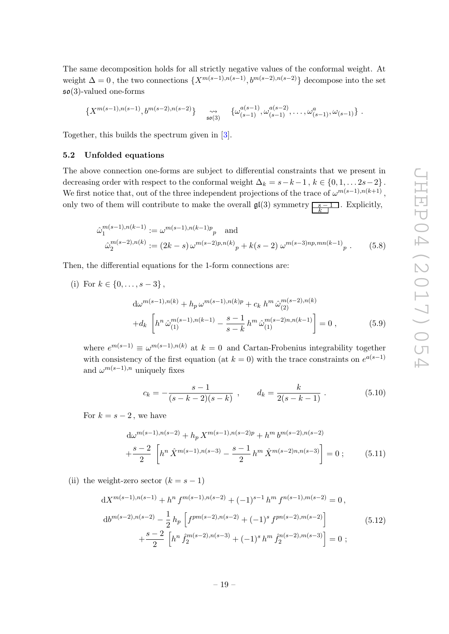The same decomposition holds for all strictly negative values of the conformal weight. At weight  $\Delta = 0$ , the two connections  $\{X^{m(s-1),n(s-1)}, b^{m(s-2),n(s-2)}\}\$  decompose into the set  $\mathfrak{so}(3)$ -valued one-forms

$$
\{X^{m(s-1),n(s-1)},b^{m(s-2),n(s-2)}\}\quad\underset{\mathfrak{so}(3)}{\leadsto}\quad\{\omega^{a(s-1)}_{(s-1)},\omega^{a(s-2)}_{(s-1)},\ldots,\omega^a_{(s-1)},\omega_{(s-1)}\}\ .
$$

Together, this builds the spectrum given in [\[3\]](#page-25-3).

#### <span id="page-19-0"></span>5.2 Unfolded equations

The above connection one-forms are subject to differential constraints that we present in decreasing order with respect to the conformal weight  $\Delta_k = s - k - 1$ ,  $k \in \{0, 1, \ldots 2s - 2\}$ . We first notice that, out of the three independent projections of the trace of  $\omega^{m(s-1),n(k+1)}$ , only two of them will contribute to make the overall  $\mathfrak{gl}(3)$  symmetry  $\frac{s-1}{k}$ . Explicitly,

$$
\hat{\omega}_1^{m(s-1),n(k-1)} := \omega^{m(s-1),n(k-1)p} p \text{ and}
$$
  

$$
\hat{\omega}_2^{m(s-2),n(k)} := (2k-s)\,\omega^{m(s-2)p,n(k)} p + k(s-2)\,\omega^{m(s-3)np,mn(k-1)} p .
$$
 (5.8)

Then, the differential equations for the 1-form connections are:

(i) For 
$$
k \in \{0, ..., s-3\}
$$
,  
\n
$$
d\omega^{m(s-1),n(k)} + h_p \omega^{m(s-1),n(k)p} + c_k h^m \hat{\omega}_{(2)}^{m(s-2),n(k)} + d_k \left[ h^n \hat{\omega}_{(1)}^{m(s-1),n(k-1)} - \frac{s-1}{s-k} h^m \hat{\omega}_{(1)}^{m(s-2)n,n(k-1)} \right] = 0,
$$
\n(5.9)

where  $e^{m(s-1)} \equiv \omega^{m(s-1),n(k)}$  at  $k=0$  and Cartan-Frobenius integrability together with consistency of the first equation (at  $k = 0$ ) with the trace constraints on  $e^{a(s-1)}$ and  $\omega^{m(s-1),n}$  uniquely fixes

$$
c_k = -\frac{s-1}{(s-k-2)(s-k)} \, , \qquad d_k = \frac{k}{2(s-k-1)} \, . \tag{5.10}
$$

For  $k = s - 2$ , we have

$$
d\omega^{m(s-1),n(s-2)} + h_p X^{m(s-1),n(s-2)p} + h^m b^{m(s-2),n(s-2)}
$$

$$
+ \frac{s-2}{2} \left[ h^n \hat{X}^{m(s-1),n(s-3)} - \frac{s-1}{2} h^m \hat{X}^{m(s-2)n,n(s-3)} \right] = 0 ; \qquad (5.11)
$$

(ii) the weight-zero sector  $(k = s - 1)$ 

$$
dX^{m(s-1),n(s-1)} + h^n f^{m(s-1),n(s-2)} + (-1)^{s-1} h^m f^{n(s-1),m(s-2)} = 0,
$$
  
\n
$$
d b^{m(s-2),n(s-2)} - \frac{1}{2} h_p \left[ f^{pm(s-2),n(s-2)} + (-1)^s f^{pn(s-2),m(s-2)} \right] + \frac{s-2}{2} \left[ h^n f_2^{m(s-2),n(s-3)} + (-1)^s h^m f_2^{n(s-2),m(s-3)} \right] = 0;
$$
\n(5.12)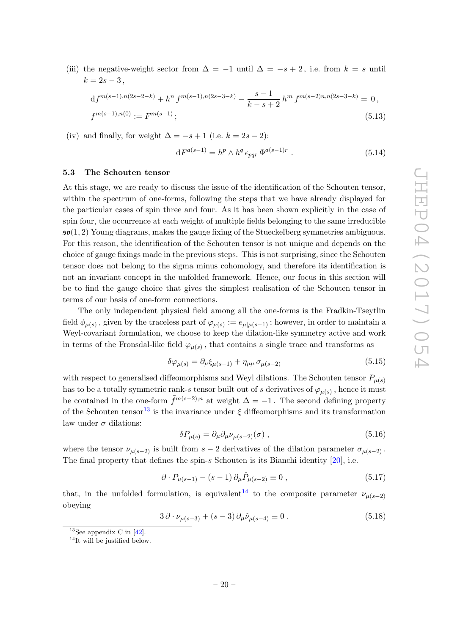(iii) the negative-weight sector from  $\Delta = -1$  until  $\Delta = -s + 2$ , i.e. from  $k = s$  until  $k = 2s - 3$ ,

$$
df^{m(s-1),n(2s-2-k)} + h^n f^{m(s-1),n(2s-3-k)} - \frac{s-1}{k-s+2} h^m f^{m(s-2)n, n(2s-3-k)} = 0,
$$
  

$$
f^{m(s-1),n(0)} := F^{m(s-1)};
$$
\n(5.13)

(iv) and finally, for weight  $\Delta = -s + 1$  (i.e.  $k = 2s - 2$ ):

$$
dF^{a(s-1)} = h^p \wedge h^q \epsilon_{pqr} \Phi^{a(s-1)r} . \qquad (5.14)
$$

#### <span id="page-20-0"></span>5.3 The Schouten tensor

At this stage, we are ready to discuss the issue of the identification of the Schouten tensor, within the spectrum of one-forms, following the steps that we have already displayed for the particular cases of spin three and four. As it has been shown explicitly in the case of spin four, the occurrence at each weight of multiple fields belonging to the same irreducible  $\mathfrak{so}(1,2)$  Young diagrams, makes the gauge fixing of the Stueckelberg symmetries ambiguous. For this reason, the identification of the Schouten tensor is not unique and depends on the choice of gauge fixings made in the previous steps. This is not surprising, since the Schouten tensor does not belong to the sigma minus cohomology, and therefore its identification is not an invariant concept in the unfolded framework. Hence, our focus in this section will be to find the gauge choice that gives the simplest realisation of the Schouten tensor in terms of our basis of one-form connections.

The only independent physical field among all the one-forms is the Fradkin-Tseytlin field  $\phi_{\mu(s)}$ , given by the traceless part of  $\varphi_{\mu(s)} := e_{\mu|\mu(s-1)}$ ; however, in order to maintain a Weyl-covariant formulation, we choose to keep the dilation-like symmetry active and work in terms of the Fronsdal-like field  $\varphi_{\mu(s)}$ , that contains a single trace and transforms as

$$
\delta\varphi_{\mu(s)} = \partial_{\mu}\xi_{\mu(s-1)} + \eta_{\mu\mu}\sigma_{\mu(s-2)}\tag{5.15}
$$

with respect to generalised diffeomorphisms and Weyl dilations. The Schouten tensor  $P_{\mu(s)}$ has to be a totally symmetric rank-s tensor built out of s derivatives of  $\varphi_{\mu(s)}$  , hence it must be contained in the one-form  $\tilde{f}^{m(s-2);n}$  at weight  $\Delta = -1$ . The second defining property of the Schouten tensor<sup>[13](#page-20-1)</sup> is the invariance under  $\xi$  diffeomorphisms and its transformation law under  $\sigma$  dilations:

$$
\delta P_{\mu(s)} = \partial_{\mu} \partial_{\mu} \nu_{\mu(s-2)}(\sigma) , \qquad (5.16)
$$

where the tensor  $\nu_{\mu(s-2)}$  is built from  $s-2$  derivatives of the dilation parameter  $\sigma_{\mu(s-2)}$ . The final property that defines the spin-s Schouten is its Bianchi identity  $[20]$ , i.e.

$$
\partial \cdot P_{\mu(s-1)} - (s-1) \partial_{\mu} \hat{P}_{\mu(s-2)} \equiv 0 , \qquad (5.17)
$$

that, in the unfolded formulation, is equivalent<sup>[14](#page-20-2)</sup> to the composite parameter  $\nu_{\mu(s-2)}$ obeying

$$
3 \,\partial \cdot \nu_{\mu(s-3)} + (s-3) \,\partial_{\mu} \hat{\nu}_{\mu(s-4)} \equiv 0 \,. \tag{5.18}
$$

<span id="page-20-1"></span><sup>&</sup>lt;sup>13</sup>See appendix C in  $[42]$ .

<span id="page-20-2"></span> $14$ It will be justified below.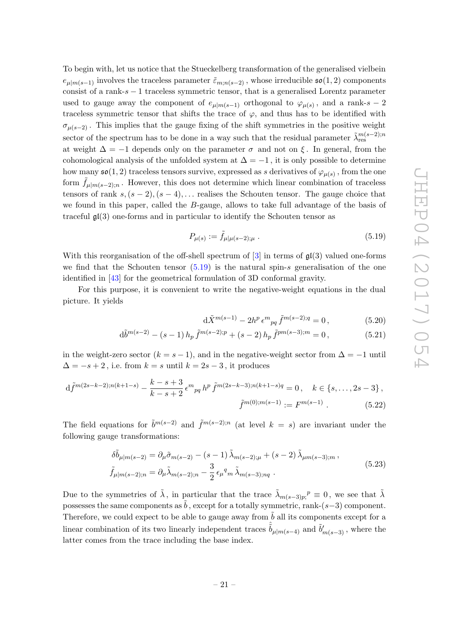To begin with, let us notice that the Stueckelberg transformation of the generalised vielbein  $e_{\mu|m(s-1)}$  involves the traceless parameter  $\tilde{\varepsilon}_{m;n(s-2)}$ , whose irreducible  $\mathfrak{so}(1,2)$  components consist of a rank- $s - 1$  traceless symmetric tensor, that is a generalised Lorentz parameter used to gauge away the component of  $e_{\mu|m(s-1)}$  orthogonal to  $\varphi_{\mu(s)}$ , and a rank-s – 2 traceless symmetric tensor that shifts the trace of  $\varphi$ , and thus has to be identified with  $\sigma_{\mu(s-2)}$ . This implies that the gauge fixing of the shift symmetries in the positive weight sector of the spectrum has to be done in a way such that the residual parameter  $\tilde{\lambda}^{m(s-2);n}_{\text{res}}$ at weight  $\Delta = -1$  depends only on the parameter  $\sigma$  and not on  $\xi$ . In general, from the cohomological analysis of the unfolded system at  $\Delta = -1$ , it is only possible to determine how many  $\mathfrak{so}(1,2)$  traceless tensors survive, expressed as s derivatives of  $\varphi_{\mu(s)}$  , from the one form  $\tilde{f}_{\mu|m(s-2);n}$ . However, this does not determine which linear combination of traceless tensors of rank  $s, (s - 2), (s - 4), \ldots$  realises the Schouten tensor. The gauge choice that we found in this paper, called the B-gauge, allows to take full advantage of the basis of traceful  $\mathfrak{gl}(3)$  one-forms and in particular to identify the Schouten tensor as

<span id="page-21-0"></span>
$$
P_{\mu(s)} := \tilde{f}_{\mu|\mu(s-2);\mu} \,. \tag{5.19}
$$

With this reorganisation of the off-shell spectrum of  $[3]$  in terms of  $\mathfrak{gl}(3)$  valued one-forms we find that the Schouten tensor  $(5.19)$  is the natural spin-s generalisation of the one identified in [\[43\]](#page-27-5) for the geometrical formulation of 3D conformal gravity.

For this purpose, it is convenient to write the negative-weight equations in the dual picture. It yields

$$
d\tilde{X}^{m(s-1)} - 2h^p \epsilon^m{}_{pq} \tilde{f}^{m(s-2);q} = 0, \qquad (5.20)
$$

$$
d\tilde{b}^{m(s-2)} - (s-1) h_p \tilde{f}^{m(s-2);p} + (s-2) h_p \tilde{f}^{pm(s-3);m} = 0, \qquad (5.21)
$$

in the weight-zero sector  $(k = s - 1)$ , and in the negative-weight sector from  $\Delta = -1$  until  $\Delta = -s + 2$ , i.e. from  $k = s$  until  $k = 2s - 3$ , it produces

$$
d\tilde{f}^{m(2s-k-2);n(k+1-s)} - \frac{k-s+3}{k-s+2} \epsilon^m{}_{pq} h^p \tilde{f}^{m(2s-k-3);n(k+1-s)q} = 0, \quad k \in \{s, \ldots, 2s-3\},
$$

$$
\tilde{f}^{m(0);m(s-1)} := F^{m(s-1)} . \tag{5.22}
$$

The field equations for  $\tilde{b}^{m(s-2)}$  and  $\tilde{f}^{m(s-2);n}$  (at level  $k = s$ ) are invariant under the following gauge transformations:

$$
\delta\tilde{b}_{\mu|m(s-2)} = \partial_{\mu}\tilde{\sigma}_{m(s-2)} - (s-1)\tilde{\lambda}_{m(s-2);\mu} + (s-2)\tilde{\lambda}_{\mu m(s-3);\mu}, \n\tilde{f}_{\mu|m(s-2);\nu} = \partial_{\mu}\tilde{\lambda}_{m(s-2);\nu} - \frac{3}{2}\epsilon_{\mu}{}^{q}{}_{m}\tilde{\lambda}_{m(s-3);\nu q}.
$$
\n(5.23)

Due to the symmetries of  $\tilde{\lambda}$ , in particular that the trace  $\tilde{\lambda}_{m(s-3)p}$ <sup>p</sup>  $\equiv 0$ , we see that  $\tilde{\lambda}$ possesses the same components as  $\tilde{b}$ , except for a totally symmetric, rank- $(s-3)$  component. Therefore, we could expect to be able to gauge away from  $\tilde{b}$  all its components except for a linear combination of its two linearly independent traces  $\hat{b}_{\mu|m(s-4)}$  and  $\tilde{b}'_{m(s-3)}$ , where the latter comes from the trace including the base index.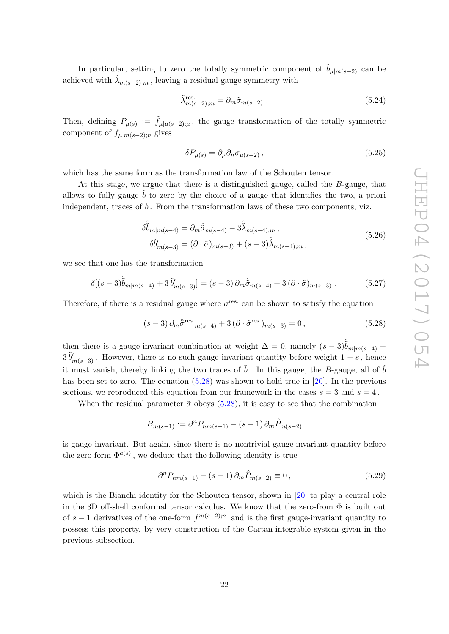In particular, setting to zero the totally symmetric component of  $\tilde{b}_{\mu|m(s-2)}$  can be achieved with  $\tilde{\lambda}_{m(s-2)|m}$ , leaving a residual gauge symmetry with

$$
\tilde{\lambda}_{m(s-2);m}^{\text{res.}} = \partial_m \tilde{\sigma}_{m(s-2)} . \tag{5.24}
$$

Then, defining  $P_{\mu(s)} := \tilde{f}_{\mu|\mu(s-2);\mu}$ , the gauge transformation of the totally symmetric component of  $f_{\mu|m(s-2);n}$  gives

<span id="page-22-2"></span>
$$
\delta P_{\mu(s)} = \partial_{\mu} \partial_{\mu} \tilde{\sigma}_{\mu(s-2)} , \qquad (5.25)
$$

which has the same form as the transformation law of the Schouten tensor.

At this stage, we argue that there is a distinguished gauge, called the B-gauge, that allows to fully gauge  $\tilde{b}$  to zero by the choice of a gauge that identifies the two, a priori independent, traces of  $\tilde{b}$ . From the transformation laws of these two components, viz.

$$
\delta \hat{b}_{m|m(s-4)} = \partial_m \hat{\tilde{\sigma}}_{m(s-4)} - 3 \hat{\tilde{\lambda}}_{m(s-4);m} ,
$$
  
\n
$$
\delta \hat{b}'_{m(s-3)} = (\partial \cdot \tilde{\sigma})_{m(s-3)} + (s-3) \hat{\tilde{\lambda}}_{m(s-4);m} ,
$$
\n(5.26)

we see that one has the transformation

$$
\delta[(s-3)\hat{\tilde{b}}_{m|m(s-4)} + 3\tilde{b}'_{m(s-3)}] = (s-3)\,\partial_m\hat{\tilde{\sigma}}_{m(s-4)} + 3\,(\partial \cdot \tilde{\sigma})_{m(s-3)}\,. \tag{5.27}
$$

Therefore, if there is a residual gauge where  $\tilde{\sigma}^{\text{res.}}$  can be shown to satisfy the equation

<span id="page-22-0"></span>
$$
(s-3)\,\partial_m\hat{\sigma}^{\rm res.}_{m(s-4)} + 3\,(\partial \cdot \tilde{\sigma}^{\rm res.})_{m(s-3)} = 0\,,\tag{5.28}
$$

then there is a gauge-invariant combination at weight  $\Delta = 0$ , namely  $(s-3)\hat{b}_{m|m(s-4)}$  +  $3 \tilde{b}'_{m(s-3)}$ . However, there is no such gauge invariant quantity before weight  $1-s$ , hence it must vanish, thereby linking the two traces of  $\tilde{b}$ . In this gauge, the B-gauge, all of  $\tilde{b}$ has been set to zero. The equation [\(5.28\)](#page-22-0) was shown to hold true in [\[20\]](#page-26-1). In the previous sections, we reproduced this equation from our framework in the cases  $s = 3$  and  $s = 4$ .

When the residual parameter  $\tilde{\sigma}$  obeys [\(5.28\)](#page-22-0), it is easy to see that the combination

$$
B_{m(s-1)} := \partial^n P_{nm(s-1)} - (s-1) \partial_m \hat{P}_{m(s-2)}
$$

is gauge invariant. But again, since there is no nontrivial gauge-invariant quantity before the zero-form  $\Phi^{a(s)}$ , we deduce that the following identity is true

<span id="page-22-1"></span>
$$
\partial^{n} P_{nm(s-1)} - (s-1) \partial_{m} \hat{P}_{m(s-2)} \equiv 0, \qquad (5.29)
$$

which is the Bianchi identity for the Schouten tensor, shown in [\[20\]](#page-26-1) to play a central role in the 3D off-shell conformal tensor calculus. We know that the zero-from Φ is built out of  $s-1$  derivatives of the one-form  $f^{m(s-2);n}$  and is the first gauge-invariant quantity to possess this property, by very construction of the Cartan-integrable system given in the previous subsection.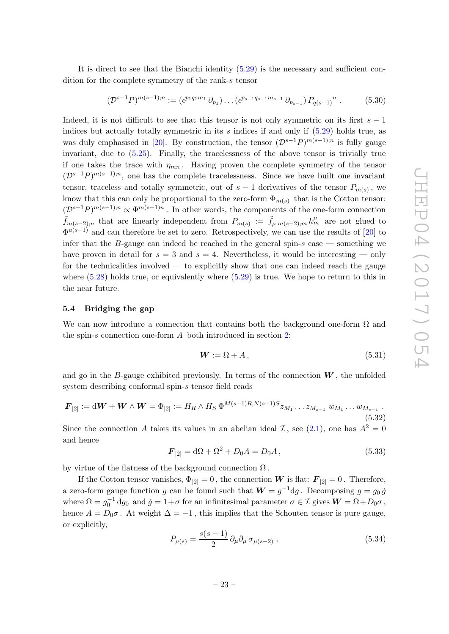It is direct to see that the Bianchi identity [\(5.29\)](#page-22-1) is the necessary and sufficient condition for the complete symmetry of the rank-s tensor

$$
(\mathcal{D}^{s-1}P)^{m(s-1);n} := (\epsilon^{p_1 q_1 m_1} \partial_{p_1}) \dots (\epsilon^{p_{s-1} q_{s-1} m_{s-1}} \partial_{p_{s-1}}) P_{q(s-1)}^n.
$$
 (5.30)

Indeed, it is not difficult to see that this tensor is not only symmetric on its first  $s - 1$ indices but actually totally symmetric in its s indices if and only if  $(5.29)$  holds true, as was duly emphasised in [\[20\]](#page-26-1). By construction, the tensor  $(\mathcal{D}^{s-1}P)^{m(s-1);n}$  is fully gauge invariant, due to [\(5.25\)](#page-22-2). Finally, the tracelessness of the above tensor is trivially true if one takes the trace with  $\eta_{mn}$ . Having proven the complete symmetry of the tensor  $(\mathcal{D}^{s-1}P)^{m(s-1);n}$ , one has the complete tracelessness. Since we have built one invariant tensor, traceless and totally symmetric, out of  $s-1$  derivatives of the tensor  $P_{m(s)}$ , we know that this can only be proportional to the zero-form  $\Phi_{m(s)}$  that is the Cotton tensor:  $(\mathcal{D}^{s-1}P)^{m(s-1);n} \propto \Phi^{m(s-1)n}$ . In other words, the components of the one-form connection  $\tilde{f}_{m(s-2);n}$  that are linearly independent from  $P_{m(s)} := \tilde{f}_{\mu|m(s-2);m} h_m^{\mu}$  are not glued to  $\Phi^{a(s-1)}$  and can therefore be set to zero. Retrospectively, we can use the results of [\[20\]](#page-26-1) to infer that the B-gauge can indeed be reached in the general spin-s case  $-$  something we have proven in detail for  $s = 3$  and  $s = 4$ . Nevertheless, it would be interesting — only for the technicalities involved — to explicitly show that one can indeed reach the gauge where  $(5.28)$  holds true, or equivalently where  $(5.29)$  is true. We hope to return to this in the near future.

#### <span id="page-23-0"></span>5.4 Bridging the gap

We can now introduce a connection that contains both the background one-form  $\Omega$  and the spin-s connection one-form A both introduced in section [2:](#page-4-0)

$$
W := \Omega + A,\tag{5.31}
$$

and go in the B-gauge exhibited previously. In terms of the connection  $W$ , the unfolded system describing conformal spin-s tensor field reads

$$
\boldsymbol{F}_{[2]} := \mathrm{d}\boldsymbol{W} + \boldsymbol{W} \wedge \boldsymbol{W} = \Phi_{[2]} := H_R \wedge H_S \, \Phi^{M(s-1)R, N(s-1)S} z_{M_1} \dots z_{M_{s-1}} \, w_{M_1} \dots w_{M_{s-1}} \, .
$$
\n(5.32)

Since the connection A takes its values in an abelian ideal  $\mathcal{I}$ , see [\(2.1\)](#page-4-4), one has  $A^2 = 0$ and hence

$$
\mathbf{F}_{[2]} = \mathrm{d}\Omega + \Omega^2 + D_0 A = D_0 A, \qquad (5.33)
$$

by virtue of the flatness of the background connection  $\Omega$ .

If the Cotton tensor vanishes,  $\Phi_{[2]} = 0$ , the connection W is flat:  $\mathbf{F}_{[2]} = 0$ . Therefore, a zero-form gauge function g can be found such that  $W = g^{-1} \mathrm{d}g$ . Decomposing  $g = g_0 \tilde{g}$ where  $\Omega = g_0^{-1} dg_0$  and  $\tilde{g} = 1 + \sigma$  for an infinitesimal parameter  $\sigma \in \mathcal{I}$  gives  $W = \Omega + D_0 \sigma$ , hence  $A = D_0 \sigma$ . At weight  $\Delta = -1$ , this implies that the Schouten tensor is pure gauge, or explicitly,

<span id="page-23-1"></span>
$$
P_{\mu(s)} = \frac{s(s-1)}{2} \partial_{\mu} \partial_{\mu} \sigma_{\mu(s-2)} . \qquad (5.34)
$$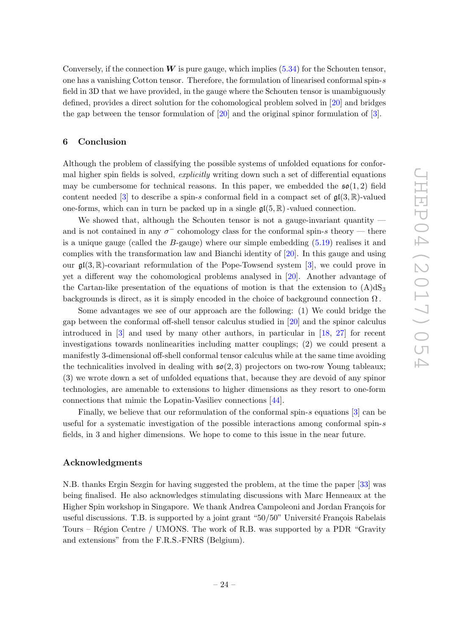Conversely, if the connection  $W$  is pure gauge, which implies [\(5.34\)](#page-23-1) for the Schouten tensor, one has a vanishing Cotton tensor. Therefore, the formulation of linearised conformal spin-s field in 3D that we have provided, in the gauge where the Schouten tensor is unambiguously defined, provides a direct solution for the cohomological problem solved in [\[20\]](#page-26-1) and bridges the gap between the tensor formulation of [\[20\]](#page-26-1) and the original spinor formulation of [\[3\]](#page-25-3).

#### <span id="page-24-0"></span>6 Conclusion

Although the problem of classifying the possible systems of unfolded equations for conformal higher spin fields is solved, *explicitly* writing down such a set of differential equations may be cumbersome for technical reasons. In this paper, we embedded the  $\mathfrak{so}(1,2)$  field content needed [\[3\]](#page-25-3) to describe a spin-s conformal field in a compact set of  $\mathfrak{gl}(3,\mathbb{R})$ -valued one-forms, which can in turn be packed up in a single  $\mathfrak{gl}(5,\mathbb{R})$ -valued connection.

We showed that, although the Schouten tensor is not a gauge-invariant quantity and is not contained in any  $\sigma^-$  cohomology class for the conformal spin-s theory — there is a unique gauge (called the B-gauge) where our simple embedding [\(5.19\)](#page-21-0) realises it and complies with the transformation law and Bianchi identity of [\[20\]](#page-26-1). In this gauge and using our  $\mathfrak{gl}(3,\mathbb{R})$ -covariant reformulation of the Pope-Towsend system [\[3\]](#page-25-3), we could prove in yet a different way the cohomological problems analysed in [\[20\]](#page-26-1). Another advantage of the Cartan-like presentation of the equations of motion is that the extension to  $(A)dS_3$ backgrounds is direct, as it is simply encoded in the choice of background connection  $\Omega$ .

Some advantages we see of our approach are the following: (1) We could bridge the gap between the conformal off-shell tensor calculus studied in [\[20\]](#page-26-1) and the spinor calculus introduced in [\[3\]](#page-25-3) and used by many other authors, in particular in [\[18,](#page-26-3) [27\]](#page-26-14) for recent investigations towards nonlinearities including matter couplings; (2) we could present a manifestly 3-dimensional off-shell conformal tensor calculus while at the same time avoiding the technicalities involved in dealing with  $\mathfrak{so}(2,3)$  projectors on two-row Young tableaux; (3) we wrote down a set of unfolded equations that, because they are devoid of any spinor technologies, are amenable to extensions to higher dimensions as they resort to one-form connections that mimic the Lopatin-Vasiliev connections [\[44\]](#page-27-6).

Finally, we believe that our reformulation of the conformal spin-s equations  $[3]$  can be useful for a systematic investigation of the possible interactions among conformal spin-s fields, in 3 and higher dimensions. We hope to come to this issue in the near future.

#### Acknowledgments

N.B. thanks Ergin Sezgin for having suggested the problem, at the time the paper [\[33\]](#page-26-8) was being finalised. He also acknowledges stimulating discussions with Marc Henneaux at the Higher Spin workshop in Singapore. We thank Andrea Campoleoni and Jordan François for useful discussions. T.B. is supported by a joint grant " $50/50$ " Université François Rabelais Tours – Région Centre / UMONS. The work of R.B. was supported by a PDR "Gravity" and extensions" from the F.R.S.-FNRS (Belgium).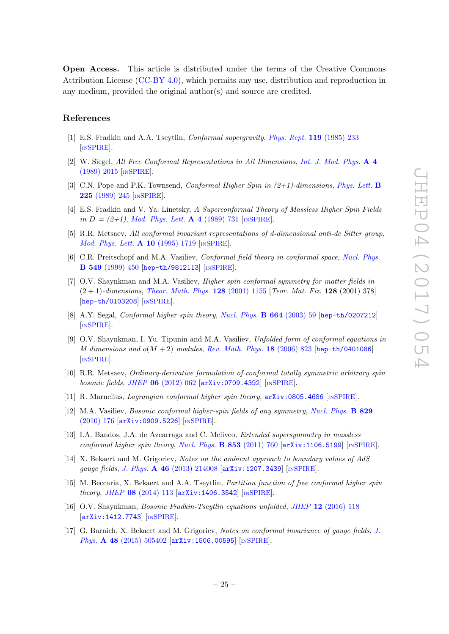Open Access. This article is distributed under the terms of the Creative Commons Attribution License [\(CC-BY 4.0\)](http://creativecommons.org/licenses/by/4.0/), which permits any use, distribution and reproduction in any medium, provided the original author(s) and source are credited.

#### References

- <span id="page-25-0"></span>[1] E.S. Fradkin and A.A. Tseytlin, *Conformal supergravity, [Phys. Rept.](http://dx.doi.org/10.1016/0370-1573(85)90138-3)* **119** (1985) 233 [IN[SPIRE](http://inspirehep.net/search?p=find+J+%22Phys.Rept.,119,233%22)].
- [2] W. Siegel, All Free Conformal Representations in All Dimensions, [Int. J. Mod. Phys.](http://dx.doi.org/10.1142/S0217751X89000819) A 4 [\(1989\) 2015](http://dx.doi.org/10.1142/S0217751X89000819) [IN[SPIRE](http://inspirehep.net/search?p=find+J+%22Int.J.Mod.Phys.,A4,2015%22)].
- <span id="page-25-3"></span>[3] C.N. Pope and P.K. Townsend, Conformal Higher Spin in  $(2+1)$ -dimensions, [Phys. Lett.](http://dx.doi.org/10.1016/0370-2693(89)90813-7) **B** 225 [\(1989\) 245](http://dx.doi.org/10.1016/0370-2693(89)90813-7) [IN[SPIRE](http://inspirehep.net/search?p=find+J+%22Phys.Lett.,B225,245%22)].
- <span id="page-25-4"></span>[4] E.S. Fradkin and V. Ya. Linetsky, A Superconformal Theory of Massless Higher Spin Fields in  $D = (2+1)$ , [Mod. Phys. Lett.](http://dx.doi.org/10.1016/0003-4916(90)90253-K) **A 4** (1989) 731 [IN[SPIRE](http://inspirehep.net/search?p=find+J+%22AnnalsPhys.,198,293%22)].
- [5] R.R. Metsaev, All conformal invariant representations of d-dimensional anti-de Sitter group, [Mod. Phys. Lett.](http://dx.doi.org/10.1142/S0217732395001848) **A 10** (1995) 1719 [IN[SPIRE](http://inspirehep.net/search?p=find+J+%22Mod.Phys.Lett.,A10,1719%22)].
- <span id="page-25-7"></span>[6] C.R. Preitschopf and M.A. Vasiliev, Conformal field theory in conformal space, [Nucl. Phys.](http://dx.doi.org/10.1016/S0550-3213(99)00087-5) B 549 [\(1999\) 450](http://dx.doi.org/10.1016/S0550-3213(99)00087-5) [[hep-th/9812113](https://arxiv.org/abs/hep-th/9812113)] [IN[SPIRE](http://inspirehep.net/search?p=find+EPRINT+hep-th/9812113)].
- [7] O.V. Shaynkman and M.A. Vasiliev, Higher spin conformal symmetry for matter fields in  $(2 + 1)$ -dimensions, [Theor. Math. Phys.](http://dx.doi.org/10.1023/A:1012399417069) 128 (2001) 1155 [Teor. Mat. Fiz. 128 (2001) 378] [[hep-th/0103208](https://arxiv.org/abs/hep-th/0103208)] [IN[SPIRE](http://inspirehep.net/search?p=find+EPRINT+hep-th/0103208)].
- [8] A.Y. Segal, Conformal higher spin theory, [Nucl. Phys.](http://dx.doi.org/10.1016/S0550-3213(03)00368-7) B 664 (2003) 59 [[hep-th/0207212](https://arxiv.org/abs/hep-th/0207212)] [IN[SPIRE](http://inspirehep.net/search?p=find+EPRINT+hep-th/0207212)].
- <span id="page-25-5"></span>[9] O.V. Shaynkman, I. Yu. Tipunin and M.A. Vasiliev, Unfolded form of conformal equations in M dimensions and  $o(M + 2)$  modules, [Rev. Math. Phys.](http://dx.doi.org/10.1142/S0129055X06002814) 18 (2006) 823 [[hep-th/0401086](https://arxiv.org/abs/hep-th/0401086)] [IN[SPIRE](http://inspirehep.net/search?p=find+EPRINT+hep-th/0401086)].
- [10] R.R. Metsaev, Ordinary-derivative formulation of conformal totally symmetric arbitrary spin bosonic fields, JHEP 06 [\(2012\) 062](http://dx.doi.org/10.1007/JHEP06(2012)062) [[arXiv:0709.4392](https://arxiv.org/abs/0709.4392)] [IN[SPIRE](http://inspirehep.net/search?p=find+EPRINT+arXiv:0709.4392)].
- [11] R. Marnelius, Lagrangian conformal higher spin theory, [arXiv:0805.4686](https://arxiv.org/abs/0805.4686) [IN[SPIRE](http://inspirehep.net/search?p=find+EPRINT+arXiv:0805.4686)].
- <span id="page-25-6"></span>[12] M.A. Vasiliev, Bosonic conformal higher-spin fields of any symmetry, [Nucl. Phys.](http://dx.doi.org/10.1016/j.nuclphysb.2009.12.010) B 829 [\(2010\) 176](http://dx.doi.org/10.1016/j.nuclphysb.2009.12.010) [[arXiv:0909.5226](https://arxiv.org/abs/0909.5226)] [IN[SPIRE](http://inspirehep.net/search?p=find+EPRINT+arXiv:0909.5226)].
- [13] I.A. Bandos, J.A. de Azcarraga and C. Meliveo, Extended supersymmetry in massless conformal higher spin theory, [Nucl. Phys.](http://dx.doi.org/10.1016/j.nuclphysb.2011.08.008)  $B$  853 (2011) 760  $[\text{arXiv:1106.5199}]$  $[\text{arXiv:1106.5199}]$  $[\text{arXiv:1106.5199}]$   $[\text{INSPIRE}]$  $[\text{INSPIRE}]$  $[\text{INSPIRE}]$ .
- <span id="page-25-1"></span>[14] X. Bekaert and M. Grigoriev, Notes on the ambient approach to boundary values of AdS gauge fields, J. Phys. A 46 [\(2013\) 214008](http://dx.doi.org/10.1088/1751-8113/46/21/214008) [[arXiv:1207.3439](https://arxiv.org/abs/1207.3439)] [IN[SPIRE](http://inspirehep.net/search?p=find+EPRINT+arXiv:1207.3439)].
- <span id="page-25-2"></span>[15] M. Beccaria, X. Bekaert and A.A. Tseytlin, Partition function of free conformal higher spin theory, JHEP 08 [\(2014\) 113](http://dx.doi.org/10.1007/JHEP08(2014)113) [[arXiv:1406.3542](https://arxiv.org/abs/1406.3542)] [IN[SPIRE](http://inspirehep.net/search?p=find+EPRINT+arXiv:1406.3542)].
- [16] O.V. Shaynkman, Bosonic Fradkin-Tseytlin equations unfolded, JHEP 12 [\(2016\) 118](http://dx.doi.org/10.1007/JHEP12(2016)118) [[arXiv:1412.7743](https://arxiv.org/abs/1412.7743)] [IN[SPIRE](http://inspirehep.net/search?p=find+EPRINT+arXiv:1412.7743)].
- [17] G. Barnich, X. Bekaert and M. Grigoriev, Notes on conformal invariance of gauge fields, [J.](http://dx.doi.org/10.1088/1751-8113/48/50/505402) Phys. A 48 (2015)  $505402$  [[arXiv:1506.00595](https://arxiv.org/abs/1506.00595)] [IN[SPIRE](http://inspirehep.net/search?p=find+EPRINT+arXiv:1506.00595)].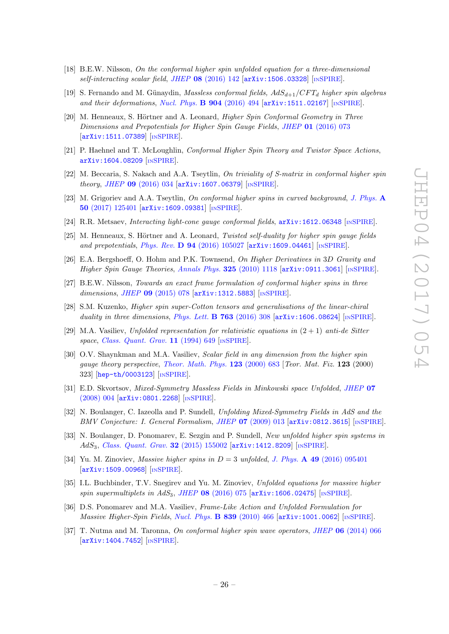- <span id="page-26-3"></span>[18] B.E.W. Nilsson, On the conformal higher spin unfolded equation for a three-dimensional  $self-interacting scalar field, JHEP$  08 [\(2016\) 142](http://dx.doi.org/10.1007/JHEP08(2016)142)  $[arXiv:1506.03328]$  $[arXiv:1506.03328]$  $[arXiv:1506.03328]$   $[nsPIRE]$ .
- [19] S. Fernando and M. Günaydin, Massless conformal fields,  $AdS_{d+1}/CFT_d$  higher spin algebras and their deformations, [Nucl. Phys.](http://dx.doi.org/10.1016/j.nuclphysb.2016.01.024) B  $904$  (2016) 494  $\left[$ [arXiv:1511.02167](https://arxiv.org/abs/1511.02167) $\right]$   $\left[$ In[SPIRE](http://inspirehep.net/search?p=find+EPRINT+arXiv:1511.02167) $\right]$ .
- <span id="page-26-1"></span>[20] M. Henneaux, S. Hörtner and A. Leonard, *Higher Spin Conformal Geometry in Three* Dimensions and Prepotentials for Higher Spin Gauge Fields, JHEP 01 [\(2016\) 073](http://dx.doi.org/10.1007/JHEP01(2016)073) [[arXiv:1511.07389](https://arxiv.org/abs/1511.07389)] [IN[SPIRE](http://inspirehep.net/search?p=find+EPRINT+arXiv:1511.07389)].
- [21] P. Haehnel and T. McLoughlin, Conformal Higher Spin Theory and Twistor Space Actions, [arXiv:1604.08209](https://arxiv.org/abs/1604.08209) [IN[SPIRE](http://inspirehep.net/search?p=find+EPRINT+arXiv:1604.08209)].
- [22] M. Beccaria, S. Nakach and A.A. Tseytlin, On triviality of S-matrix in conformal higher spin theory, JHEP 09 [\(2016\) 034](http://dx.doi.org/10.1007/JHEP09(2016)034) [[arXiv:1607.06379](https://arxiv.org/abs/1607.06379)] [IN[SPIRE](http://inspirehep.net/search?p=find+EPRINT+arXiv:1607.06379)].
- <span id="page-26-12"></span>[23] M. Grigoriev and A.A. Tseytlin, On conformal higher spins in curved background, [J. Phys.](http://dx.doi.org/10.1088/1751-8121/aa5c5f) A 50 [\(2017\) 125401](http://dx.doi.org/10.1088/1751-8121/aa5c5f) [[arXiv:1609.09381](https://arxiv.org/abs/1609.09381)] [IN[SPIRE](http://inspirehep.net/search?p=find+EPRINT+arXiv:1609.09381)].
- <span id="page-26-0"></span>[24] R.R. Metsaev, *Interacting light-cone gauge conformal fields*,  $arXiv:1612.06348$  [IN[SPIRE](http://inspirehep.net/search?p=find+EPRINT+arXiv:1612.06348)].
- <span id="page-26-2"></span>[25] M. Henneaux, S. Hörtner and A. Leonard, Twisted self-duality for higher spin gauge fields and prepotentials, Phys. Rev. D  $94$  [\(2016\) 105027](http://dx.doi.org/10.1103/PhysRevD.94.105027) [[arXiv:1609.04461](https://arxiv.org/abs/1609.04461)] [IN[SPIRE](http://inspirehep.net/search?p=find+EPRINT+arXiv:1609.04461)].
- [26] E.A. Bergshoeff, O. Hohm and P.K. Townsend, On Higher Derivatives in 3D Gravity and Higher Spin Gauge Theories, [Annals Phys.](http://dx.doi.org/10.1016/j.aop.2009.12.010) 325 (2010) 1118 [[arXiv:0911.3061](https://arxiv.org/abs/0911.3061)] [IN[SPIRE](http://inspirehep.net/search?p=find+EPRINT+arXiv:0911.3061)].
- <span id="page-26-14"></span>[27] B.E.W. Nilsson, Towards an exact frame formulation of conformal higher spins in three dimensions, JHEP 09 [\(2015\) 078](http://dx.doi.org/10.1007/JHEP09(2015)078) [[arXiv:1312.5883](https://arxiv.org/abs/1312.5883)] [IN[SPIRE](http://inspirehep.net/search?p=find+EPRINT+arXiv:1312.5883)].
- <span id="page-26-4"></span>[28] S.M. Kuzenko, Higher spin super-Cotton tensors and generalisations of the linear-chiral duality in three dimensions, [Phys. Lett.](http://dx.doi.org/10.1016/j.physletb.2016.10.071)  $\bf{B}$  763 (2016) 308 [[arXiv:1606.08624](https://arxiv.org/abs/1606.08624)] [IN[SPIRE](http://inspirehep.net/search?p=find+EPRINT+arXiv:1606.08624)].
- <span id="page-26-5"></span>[29] M.A. Vasiliev, Unfolded representation for relativistic equations in  $(2 + 1)$  anti-de Sitter space, [Class. Quant. Grav.](http://dx.doi.org/10.1088/0264-9381/11/3/015) 11 (1994) 649 [IN[SPIRE](http://inspirehep.net/search?p=find+J+%22Class.Quant.Grav.,11,649%22)].
- <span id="page-26-6"></span>[30] O.V. Shaynkman and M.A. Vasiliev, *Scalar field in any dimension from the higher spin* gauge theory perspective, [Theor. Math. Phys.](http://dx.doi.org/10.1007/BF02551402) 123 (2000) 683 [Teor. Mat. Fiz. 123 (2000) 323] [[hep-th/0003123](https://arxiv.org/abs/hep-th/0003123)] [IN[SPIRE](http://inspirehep.net/search?p=find+EPRINT+hep-th/0003123)].
- [31] E.D. Skvortsov, Mixed-Symmetry Massless Fields in Minkowski space Unfolded, [JHEP](http://dx.doi.org/10.1088/1126-6708/2008/07/004) 07 [\(2008\) 004](http://dx.doi.org/10.1088/1126-6708/2008/07/004) [[arXiv:0801.2268](https://arxiv.org/abs/0801.2268)] [IN[SPIRE](http://inspirehep.net/search?p=find+EPRINT+arXiv:0801.2268)].
- <span id="page-26-7"></span>[32] N. Boulanger, C. Iazeolla and P. Sundell, Unfolding Mixed-Symmetry Fields in AdS and the BMV Conjecture: I. General Formalism, JHEP 07 [\(2009\) 013](http://dx.doi.org/10.1088/1126-6708/2009/07/013) [[arXiv:0812.3615](https://arxiv.org/abs/0812.3615)] [IN[SPIRE](http://inspirehep.net/search?p=find+EPRINT+arXiv:0812.3615)].
- <span id="page-26-8"></span>[33] N. Boulanger, D. Ponomarev, E. Sezgin and P. Sundell, New unfolded higher spin systems in AdS<sub>3</sub>, [Class. Quant. Grav.](http://dx.doi.org/10.1088/0264-9381/32/15/155002) **32** (2015) 155002 [[arXiv:1412.8209](https://arxiv.org/abs/1412.8209)] [IN[SPIRE](http://inspirehep.net/search?p=find+EPRINT+arXiv:1412.8209)].
- <span id="page-26-9"></span>[34] Yu. M. Zinoviev, *Massive higher spins in*  $D = 3$  *unfolded, J. Phys.* **A 49** [\(2016\) 095401](http://dx.doi.org/10.1088/1751-8113/49/9/095401) [[arXiv:1509.00968](https://arxiv.org/abs/1509.00968)] [IN[SPIRE](http://inspirehep.net/search?p=find+EPRINT+arXiv:1509.00968)].
- <span id="page-26-10"></span>[35] I.L. Buchbinder, T.V. Snegirev and Yu. M. Zinoviev, Unfolded equations for massive higher spin supermultiplets in  $AdS_3$ , JHEP 08 [\(2016\) 075](http://dx.doi.org/10.1007/JHEP08(2016)075) [[arXiv:1606.02475](https://arxiv.org/abs/1606.02475)] [IN[SPIRE](http://inspirehep.net/search?p=find+EPRINT+arXiv:1606.02475)].
- <span id="page-26-11"></span>[36] D.S. Ponomarev and M.A. Vasiliev, Frame-Like Action and Unfolded Formulation for Massive Higher-Spin Fields, [Nucl. Phys.](http://dx.doi.org/10.1016/j.nuclphysb.2010.06.007) B 839 (2010) 466 [[arXiv:1001.0062](https://arxiv.org/abs/1001.0062)] [IN[SPIRE](http://inspirehep.net/search?p=find+EPRINT+arXiv:1001.0062)].
- <span id="page-26-13"></span>[37] T. Nutma and M. Taronna, On conformal higher spin wave operators, JHEP 06 [\(2014\) 066](http://dx.doi.org/10.1007/JHEP06(2014)066) [[arXiv:1404.7452](https://arxiv.org/abs/1404.7452)] [IN[SPIRE](http://inspirehep.net/search?p=find+EPRINT+arXiv:1404.7452)].